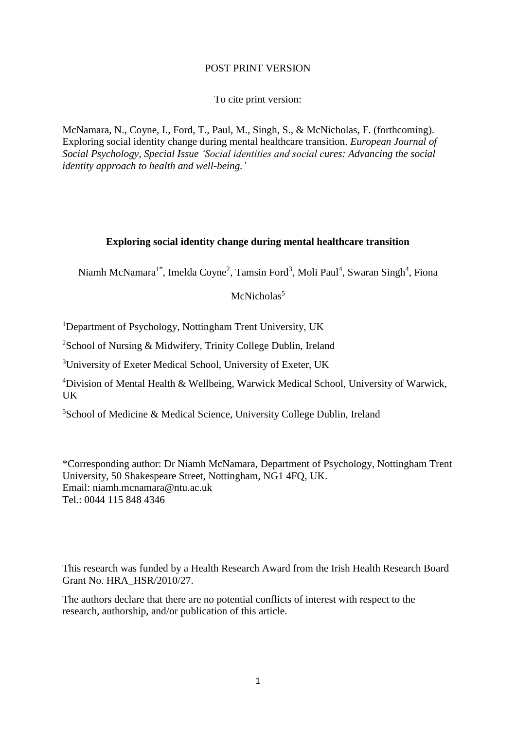# POST PRINT VERSION

To cite print version:

McNamara, N., Coyne, I., Ford, T., Paul, M., Singh, S., & McNicholas, F. (forthcoming). Exploring social identity change during mental healthcare transition. *European Journal of Social Psychology, Special Issue 'Social identities and social cures: Advancing the social identity approach to health and well-being.'*

# **Exploring social identity change during mental healthcare transition**

Niamh McNamara<sup>1\*</sup>, Imelda Coyne<sup>2</sup>, Tamsin Ford<sup>3</sup>, Moli Paul<sup>4</sup>, Swaran Singh<sup>4</sup>, Fiona

McNicholas<sup>5</sup>

<sup>1</sup>Department of Psychology, Nottingham Trent University, UK

<sup>2</sup>School of Nursing & Midwifery, Trinity College Dublin, Ireland

<sup>3</sup>University of Exeter Medical School, University of Exeter, UK

<sup>4</sup>Division of Mental Health & Wellbeing, Warwick Medical School, University of Warwick, **UK** 

<sup>5</sup>School of Medicine & Medical Science, University College Dublin, Ireland

\*Corresponding author: Dr Niamh McNamara, Department of Psychology, Nottingham Trent University, 50 Shakespeare Street, Nottingham, NG1 4FQ, UK. Email: niamh.mcnamara@ntu.ac.uk Tel.: 0044 115 848 4346

This research was funded by a Health Research Award from the Irish Health Research Board Grant No. HRA\_HSR/2010/27.

The authors declare that there are no potential conflicts of interest with respect to the research, authorship, and/or publication of this article.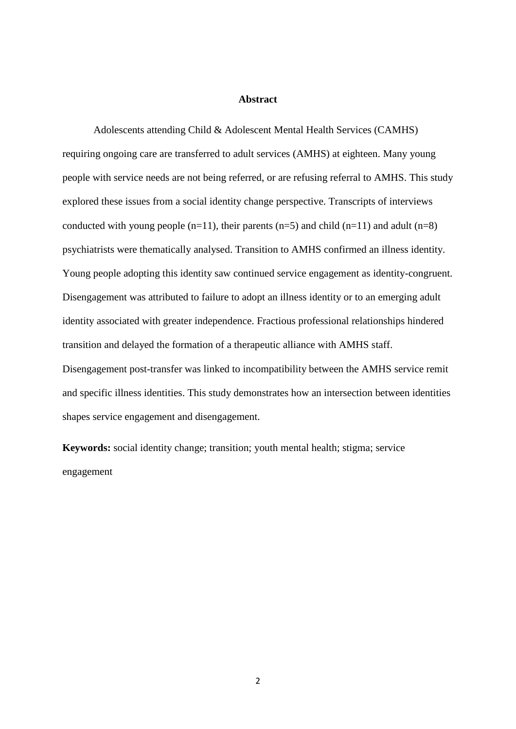#### **Abstract**

Adolescents attending Child & Adolescent Mental Health Services (CAMHS) requiring ongoing care are transferred to adult services (AMHS) at eighteen. Many young people with service needs are not being referred, or are refusing referral to AMHS. This study explored these issues from a social identity change perspective. Transcripts of interviews conducted with young people  $(n=11)$ , their parents  $(n=5)$  and child  $(n=11)$  and adult  $(n=8)$ psychiatrists were thematically analysed. Transition to AMHS confirmed an illness identity. Young people adopting this identity saw continued service engagement as identity-congruent. Disengagement was attributed to failure to adopt an illness identity or to an emerging adult identity associated with greater independence. Fractious professional relationships hindered transition and delayed the formation of a therapeutic alliance with AMHS staff. Disengagement post-transfer was linked to incompatibility between the AMHS service remit and specific illness identities. This study demonstrates how an intersection between identities shapes service engagement and disengagement.

**Keywords:** social identity change; transition; youth mental health; stigma; service engagement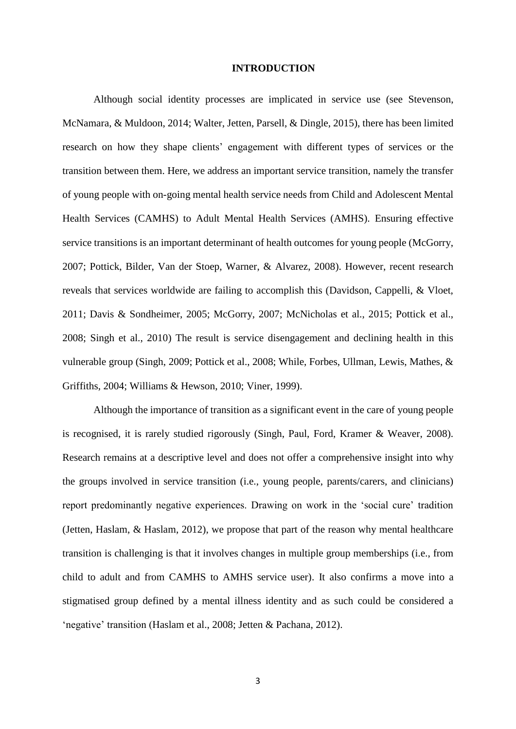#### **INTRODUCTION**

Although social identity processes are implicated in service use (see Stevenson, McNamara, & Muldoon, 2014; Walter, Jetten, Parsell, & Dingle, 2015), there has been limited research on how they shape clients' engagement with different types of services or the transition between them. Here, we address an important service transition, namely the transfer of young people with on-going mental health service needs from Child and Adolescent Mental Health Services (CAMHS) to Adult Mental Health Services (AMHS). Ensuring effective service transitions is an important determinant of health outcomes for young people (McGorry, 2007; Pottick, Bilder, Van der Stoep, Warner, & Alvarez, 2008). However, recent research reveals that services worldwide are failing to accomplish this (Davidson, Cappelli, & Vloet, 2011; Davis & Sondheimer, 2005; McGorry, 2007; McNicholas et al., 2015; Pottick et al., 2008; Singh et al., 2010) The result is service disengagement and declining health in this vulnerable group (Singh, 2009; Pottick et al., 2008; While, Forbes, Ullman, Lewis, Mathes, & Griffiths, 2004; Williams & Hewson, 2010; Viner, 1999).

Although the importance of transition as a significant event in the care of young people is recognised, it is rarely studied rigorously (Singh, Paul, Ford, Kramer & Weaver, 2008). Research remains at a descriptive level and does not offer a comprehensive insight into why the groups involved in service transition (i.e., young people, parents/carers, and clinicians) report predominantly negative experiences. Drawing on work in the 'social cure' tradition (Jetten, Haslam, & Haslam, 2012), we propose that part of the reason why mental healthcare transition is challenging is that it involves changes in multiple group memberships (i.e., from child to adult and from CAMHS to AMHS service user). It also confirms a move into a stigmatised group defined by a mental illness identity and as such could be considered a 'negative' transition (Haslam et al., 2008; Jetten & Pachana, 2012).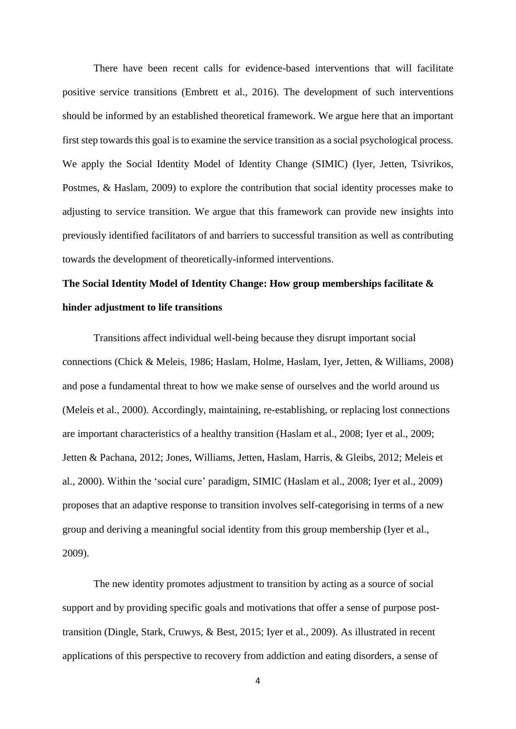There have been recent calls for evidence-based interventions that will facilitate positive service transitions (Embrett et al., 2016). The development of such interventions should be informed by an established theoretical framework. We argue here that an important first step towards this goal is to examine the service transition as a social psychological process. We apply the Social Identity Model of Identity Change (SIMIC) (Iyer, Jetten, Tsivrikos, Postmes, & Haslam, 2009) to explore the contribution that social identity processes make to adjusting to service transition. We argue that this framework can provide new insights into previously identified facilitators of and barriers to successful transition as well as contributing towards the development of theoretically-informed interventions.

# **The Social Identity Model of Identity Change: How group memberships facilitate & hinder adjustment to life transitions**

Transitions affect individual well-being because they disrupt important social connections (Chick & Meleis, 1986; Haslam, Holme, Haslam, Iyer, Jetten, & Williams, 2008) and pose a fundamental threat to how we make sense of ourselves and the world around us (Meleis et al., 2000). Accordingly, maintaining, re-establishing, or replacing lost connections are important characteristics of a healthy transition (Haslam et al., 2008; Iyer et al., 2009; Jetten & Pachana, 2012; Jones, Williams, Jetten, Haslam, Harris, & Gleibs, 2012; Meleis et al., 2000). Within the 'social cure' paradigm, SIMIC (Haslam et al., 2008; Iyer et al., 2009) proposes that an adaptive response to transition involves self-categorising in terms of a new group and deriving a meaningful social identity from this group membership (Iyer et al., 2009).

The new identity promotes adjustment to transition by acting as a source of social support and by providing specific goals and motivations that offer a sense of purpose posttransition (Dingle, Stark, Cruwys, & Best, 2015; Iyer et al., 2009). As illustrated in recent applications of this perspective to recovery from addiction and eating disorders, a sense of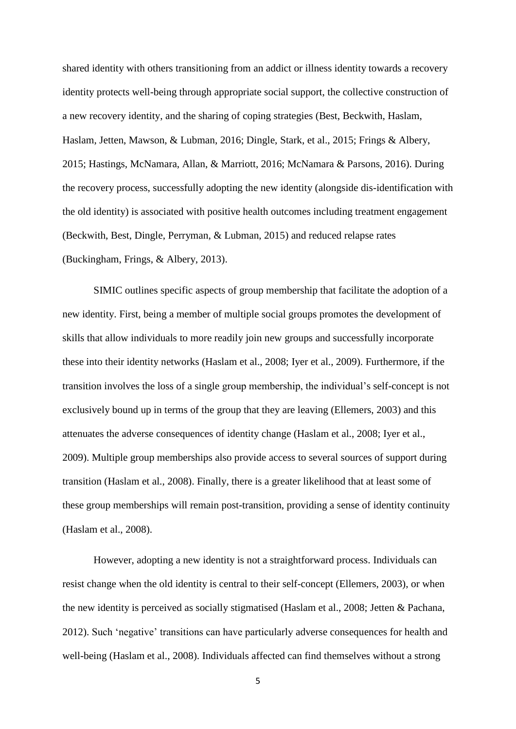shared identity with others transitioning from an addict or illness identity towards a recovery identity protects well-being through appropriate social support, the collective construction of a new recovery identity, and the sharing of coping strategies (Best, Beckwith, Haslam, Haslam, Jetten, Mawson, & Lubman, 2016; Dingle, Stark, et al., 2015; Frings & Albery, 2015; Hastings, McNamara, Allan, & Marriott, 2016; McNamara & Parsons, 2016). During the recovery process, successfully adopting the new identity (alongside dis-identification with the old identity) is associated with positive health outcomes including treatment engagement (Beckwith, Best, Dingle, Perryman, & Lubman, 2015) and reduced relapse rates (Buckingham, Frings, & Albery, 2013).

SIMIC outlines specific aspects of group membership that facilitate the adoption of a new identity. First, being a member of multiple social groups promotes the development of skills that allow individuals to more readily join new groups and successfully incorporate these into their identity networks (Haslam et al., 2008; Iyer et al., 2009). Furthermore, if the transition involves the loss of a single group membership, the individual's self-concept is not exclusively bound up in terms of the group that they are leaving (Ellemers, 2003) and this attenuates the adverse consequences of identity change (Haslam et al., 2008; Iyer et al., 2009). Multiple group memberships also provide access to several sources of support during transition (Haslam et al., 2008). Finally, there is a greater likelihood that at least some of these group memberships will remain post-transition, providing a sense of identity continuity (Haslam et al., 2008).

However, adopting a new identity is not a straightforward process. Individuals can resist change when the old identity is central to their self-concept (Ellemers, 2003), or when the new identity is perceived as socially stigmatised (Haslam et al., 2008; Jetten & Pachana, 2012). Such 'negative' transitions can have particularly adverse consequences for health and well-being (Haslam et al., 2008). Individuals affected can find themselves without a strong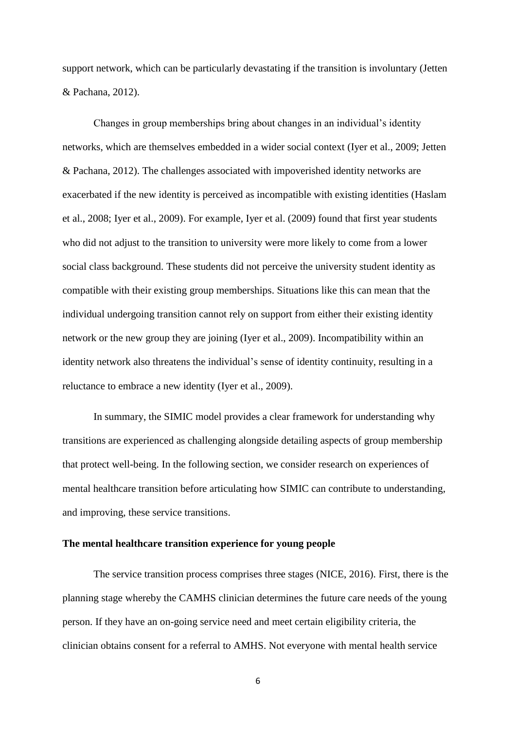support network, which can be particularly devastating if the transition is involuntary (Jetten & Pachana, 2012).

Changes in group memberships bring about changes in an individual's identity networks, which are themselves embedded in a wider social context (Iyer et al., 2009; Jetten & Pachana, 2012). The challenges associated with impoverished identity networks are exacerbated if the new identity is perceived as incompatible with existing identities (Haslam et al., 2008; Iyer et al., 2009). For example, Iyer et al. (2009) found that first year students who did not adjust to the transition to university were more likely to come from a lower social class background. These students did not perceive the university student identity as compatible with their existing group memberships. Situations like this can mean that the individual undergoing transition cannot rely on support from either their existing identity network or the new group they are joining (Iyer et al., 2009). Incompatibility within an identity network also threatens the individual's sense of identity continuity, resulting in a reluctance to embrace a new identity (Iyer et al., 2009).

In summary, the SIMIC model provides a clear framework for understanding why transitions are experienced as challenging alongside detailing aspects of group membership that protect well-being. In the following section, we consider research on experiences of mental healthcare transition before articulating how SIMIC can contribute to understanding, and improving, these service transitions.

## **The mental healthcare transition experience for young people**

The service transition process comprises three stages (NICE, 2016). First, there is the planning stage whereby the CAMHS clinician determines the future care needs of the young person. If they have an on-going service need and meet certain eligibility criteria, the clinician obtains consent for a referral to AMHS. Not everyone with mental health service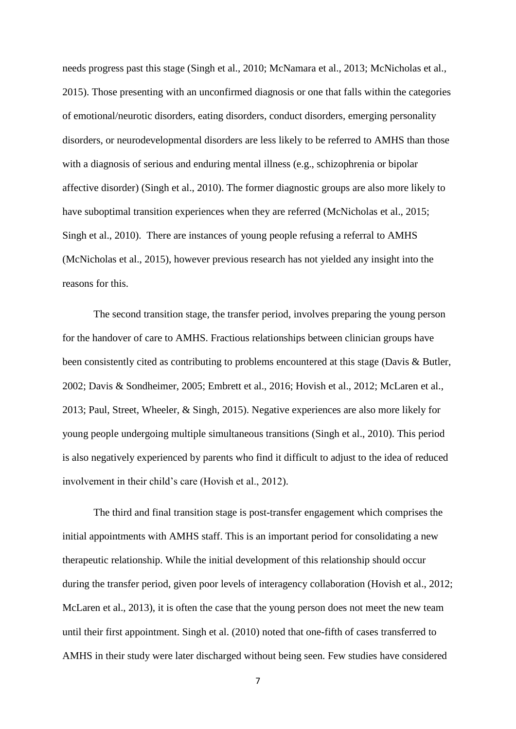needs progress past this stage (Singh et al., 2010; McNamara et al., 2013; McNicholas et al., 2015). Those presenting with an unconfirmed diagnosis or one that falls within the categories of emotional/neurotic disorders, eating disorders, conduct disorders, emerging personality disorders, or neurodevelopmental disorders are less likely to be referred to AMHS than those with a diagnosis of serious and enduring mental illness (e.g., schizophrenia or bipolar affective disorder) (Singh et al., 2010). The former diagnostic groups are also more likely to have suboptimal transition experiences when they are referred (McNicholas et al., 2015; Singh et al., 2010). There are instances of young people refusing a referral to AMHS (McNicholas et al., 2015), however previous research has not yielded any insight into the reasons for this.

The second transition stage, the transfer period, involves preparing the young person for the handover of care to AMHS. Fractious relationships between clinician groups have been consistently cited as contributing to problems encountered at this stage (Davis & Butler, 2002; Davis & Sondheimer, 2005; Embrett et al., 2016; Hovish et al., 2012; McLaren et al., 2013; Paul, Street, Wheeler, & Singh, 2015). Negative experiences are also more likely for young people undergoing multiple simultaneous transitions (Singh et al., 2010). This period is also negatively experienced by parents who find it difficult to adjust to the idea of reduced involvement in their child's care (Hovish et al., 2012).

The third and final transition stage is post-transfer engagement which comprises the initial appointments with AMHS staff. This is an important period for consolidating a new therapeutic relationship. While the initial development of this relationship should occur during the transfer period, given poor levels of interagency collaboration (Hovish et al., 2012; McLaren et al., 2013), it is often the case that the young person does not meet the new team until their first appointment. Singh et al. (2010) noted that one-fifth of cases transferred to AMHS in their study were later discharged without being seen. Few studies have considered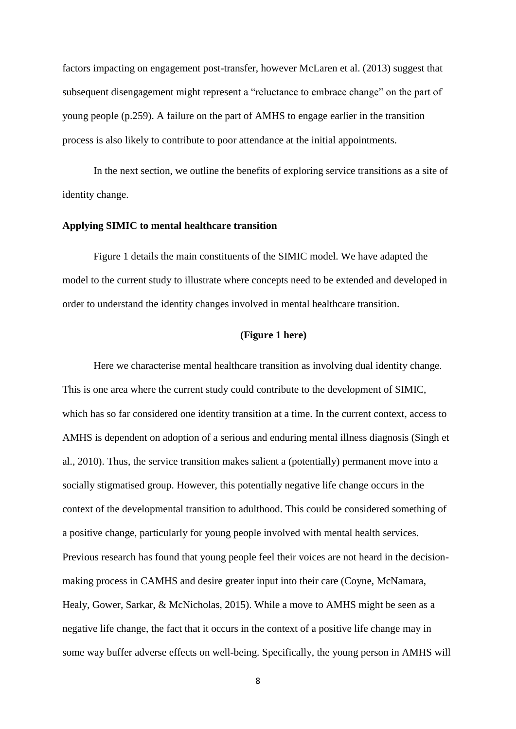factors impacting on engagement post-transfer, however McLaren et al. (2013) suggest that subsequent disengagement might represent a "reluctance to embrace change" on the part of young people (p.259). A failure on the part of AMHS to engage earlier in the transition process is also likely to contribute to poor attendance at the initial appointments.

In the next section, we outline the benefits of exploring service transitions as a site of identity change.

## **Applying SIMIC to mental healthcare transition**

Figure 1 details the main constituents of the SIMIC model. We have adapted the model to the current study to illustrate where concepts need to be extended and developed in order to understand the identity changes involved in mental healthcare transition.

## **(Figure 1 here)**

Here we characterise mental healthcare transition as involving dual identity change. This is one area where the current study could contribute to the development of SIMIC, which has so far considered one identity transition at a time. In the current context, access to AMHS is dependent on adoption of a serious and enduring mental illness diagnosis (Singh et al., 2010). Thus, the service transition makes salient a (potentially) permanent move into a socially stigmatised group. However, this potentially negative life change occurs in the context of the developmental transition to adulthood. This could be considered something of a positive change, particularly for young people involved with mental health services. Previous research has found that young people feel their voices are not heard in the decisionmaking process in CAMHS and desire greater input into their care (Coyne, McNamara, Healy, Gower, Sarkar, & McNicholas, 2015). While a move to AMHS might be seen as a negative life change, the fact that it occurs in the context of a positive life change may in some way buffer adverse effects on well-being. Specifically, the young person in AMHS will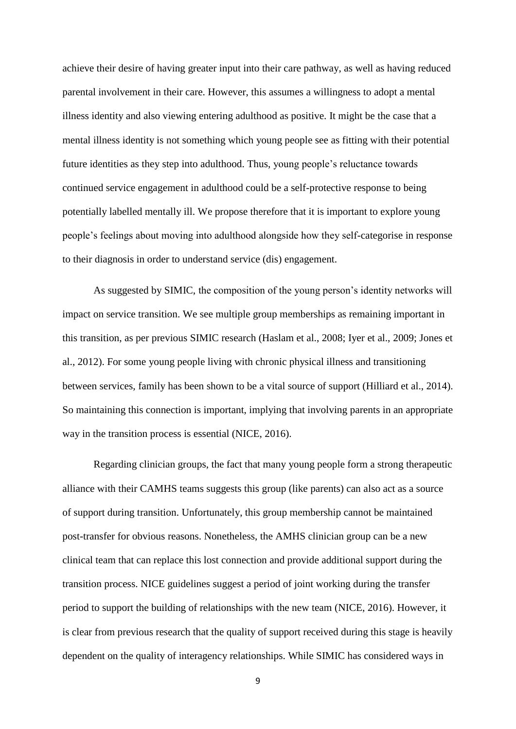achieve their desire of having greater input into their care pathway, as well as having reduced parental involvement in their care. However, this assumes a willingness to adopt a mental illness identity and also viewing entering adulthood as positive. It might be the case that a mental illness identity is not something which young people see as fitting with their potential future identities as they step into adulthood. Thus, young people's reluctance towards continued service engagement in adulthood could be a self-protective response to being potentially labelled mentally ill. We propose therefore that it is important to explore young people's feelings about moving into adulthood alongside how they self-categorise in response to their diagnosis in order to understand service (dis) engagement.

As suggested by SIMIC, the composition of the young person's identity networks will impact on service transition. We see multiple group memberships as remaining important in this transition, as per previous SIMIC research (Haslam et al., 2008; Iyer et al., 2009; Jones et al., 2012). For some young people living with chronic physical illness and transitioning between services, family has been shown to be a vital source of support (Hilliard et al., 2014). So maintaining this connection is important, implying that involving parents in an appropriate way in the transition process is essential (NICE, 2016).

Regarding clinician groups, the fact that many young people form a strong therapeutic alliance with their CAMHS teams suggests this group (like parents) can also act as a source of support during transition. Unfortunately, this group membership cannot be maintained post-transfer for obvious reasons. Nonetheless, the AMHS clinician group can be a new clinical team that can replace this lost connection and provide additional support during the transition process. NICE guidelines suggest a period of joint working during the transfer period to support the building of relationships with the new team (NICE, 2016). However, it is clear from previous research that the quality of support received during this stage is heavily dependent on the quality of interagency relationships. While SIMIC has considered ways in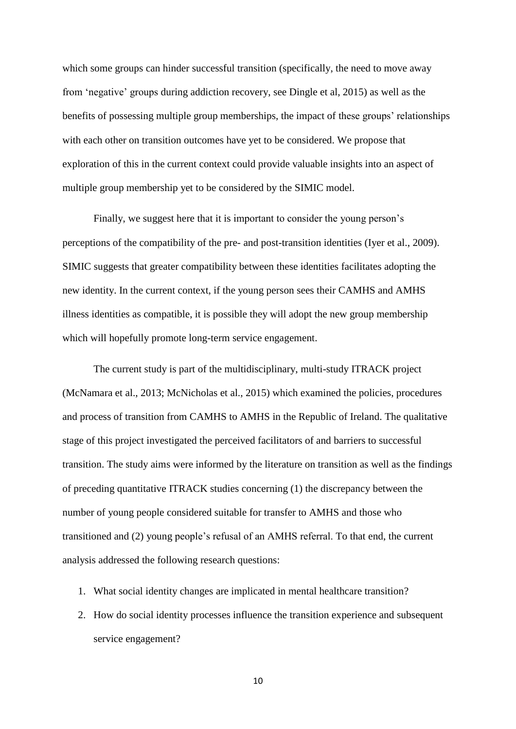which some groups can hinder successful transition (specifically, the need to move away from 'negative' groups during addiction recovery, see Dingle et al, 2015) as well as the benefits of possessing multiple group memberships, the impact of these groups' relationships with each other on transition outcomes have yet to be considered. We propose that exploration of this in the current context could provide valuable insights into an aspect of multiple group membership yet to be considered by the SIMIC model.

Finally, we suggest here that it is important to consider the young person's perceptions of the compatibility of the pre- and post-transition identities (Iyer et al., 2009). SIMIC suggests that greater compatibility between these identities facilitates adopting the new identity. In the current context, if the young person sees their CAMHS and AMHS illness identities as compatible, it is possible they will adopt the new group membership which will hopefully promote long-term service engagement.

The current study is part of the multidisciplinary, multi-study ITRACK project (McNamara et al., 2013; McNicholas et al., 2015) which examined the policies, procedures and process of transition from CAMHS to AMHS in the Republic of Ireland. The qualitative stage of this project investigated the perceived facilitators of and barriers to successful transition. The study aims were informed by the literature on transition as well as the findings of preceding quantitative ITRACK studies concerning (1) the discrepancy between the number of young people considered suitable for transfer to AMHS and those who transitioned and (2) young people's refusal of an AMHS referral. To that end, the current analysis addressed the following research questions:

- 1. What social identity changes are implicated in mental healthcare transition?
- 2. How do social identity processes influence the transition experience and subsequent service engagement?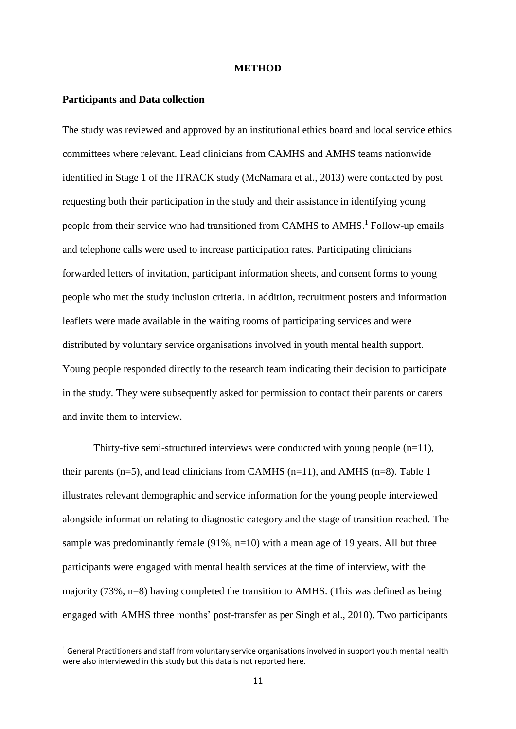## **METHOD**

## **Participants and Data collection**

**.** 

The study was reviewed and approved by an institutional ethics board and local service ethics committees where relevant. Lead clinicians from CAMHS and AMHS teams nationwide identified in Stage 1 of the ITRACK study (McNamara et al., 2013) were contacted by post requesting both their participation in the study and their assistance in identifying young people from their service who had transitioned from CAMHS to AMHS.<sup>1</sup> Follow-up emails and telephone calls were used to increase participation rates. Participating clinicians forwarded letters of invitation, participant information sheets, and consent forms to young people who met the study inclusion criteria. In addition, recruitment posters and information leaflets were made available in the waiting rooms of participating services and were distributed by voluntary service organisations involved in youth mental health support. Young people responded directly to the research team indicating their decision to participate in the study. They were subsequently asked for permission to contact their parents or carers and invite them to interview.

Thirty-five semi-structured interviews were conducted with young people (n=11), their parents  $(n=5)$ , and lead clinicians from CAMHS  $(n=11)$ , and AMHS  $(n=8)$ . Table 1 illustrates relevant demographic and service information for the young people interviewed alongside information relating to diagnostic category and the stage of transition reached. The sample was predominantly female (91%, n=10) with a mean age of 19 years. All but three participants were engaged with mental health services at the time of interview, with the majority (73%, n=8) having completed the transition to AMHS. (This was defined as being engaged with AMHS three months' post-transfer as per Singh et al., 2010). Two participants

 $1$  General Practitioners and staff from voluntary service organisations involved in support youth mental health were also interviewed in this study but this data is not reported here.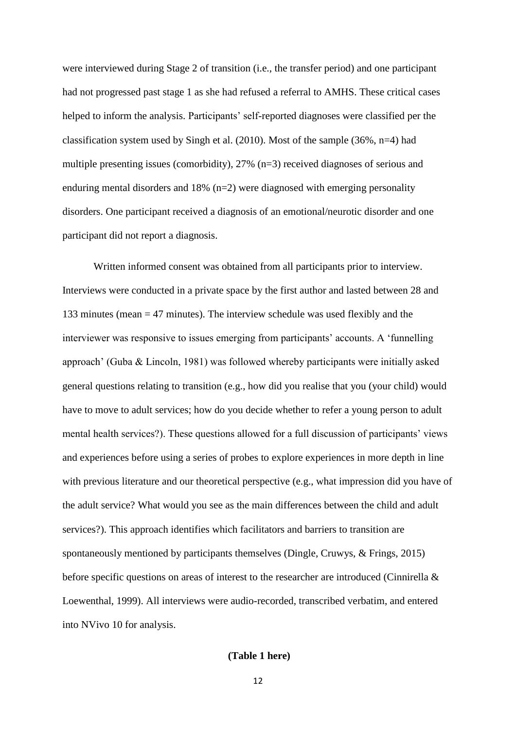were interviewed during Stage 2 of transition (i.e., the transfer period) and one participant had not progressed past stage 1 as she had refused a referral to AMHS. These critical cases helped to inform the analysis. Participants' self-reported diagnoses were classified per the classification system used by Singh et al.  $(2010)$ . Most of the sample  $(36\%, n=4)$  had multiple presenting issues (comorbidity), 27% (n=3) received diagnoses of serious and enduring mental disorders and 18% (n=2) were diagnosed with emerging personality disorders. One participant received a diagnosis of an emotional/neurotic disorder and one participant did not report a diagnosis.

Written informed consent was obtained from all participants prior to interview. Interviews were conducted in a private space by the first author and lasted between 28 and 133 minutes (mean = 47 minutes). The interview schedule was used flexibly and the interviewer was responsive to issues emerging from participants' accounts. A 'funnelling approach' (Guba & Lincoln, 1981) was followed whereby participants were initially asked general questions relating to transition (e.g., how did you realise that you (your child) would have to move to adult services; how do you decide whether to refer a young person to adult mental health services?). These questions allowed for a full discussion of participants' views and experiences before using a series of probes to explore experiences in more depth in line with previous literature and our theoretical perspective (e.g., what impression did you have of the adult service? What would you see as the main differences between the child and adult services?). This approach identifies which facilitators and barriers to transition are spontaneously mentioned by participants themselves (Dingle, Cruwys, & Frings, 2015) before specific questions on areas of interest to the researcher are introduced (Cinnirella & Loewenthal, 1999). All interviews were audio-recorded, transcribed verbatim, and entered into NVivo 10 for analysis.

## **(Table 1 here)**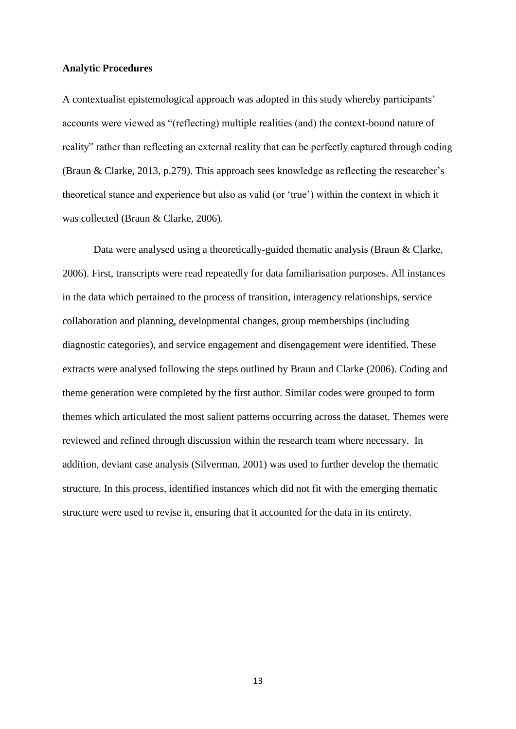#### **Analytic Procedures**

A contextualist epistemological approach was adopted in this study whereby participants' accounts were viewed as "(reflecting) multiple realities (and) the context-bound nature of reality" rather than reflecting an external reality that can be perfectly captured through coding (Braun & Clarke, 2013, p.279). This approach sees knowledge as reflecting the researcher's theoretical stance and experience but also as valid (or 'true') within the context in which it was collected (Braun & Clarke, 2006).

Data were analysed using a theoretically-guided thematic analysis (Braun & Clarke, 2006). First, transcripts were read repeatedly for data familiarisation purposes. All instances in the data which pertained to the process of transition, interagency relationships, service collaboration and planning, developmental changes, group memberships (including diagnostic categories), and service engagement and disengagement were identified. These extracts were analysed following the steps outlined by Braun and Clarke (2006). Coding and theme generation were completed by the first author. Similar codes were grouped to form themes which articulated the most salient patterns occurring across the dataset. Themes were reviewed and refined through discussion within the research team where necessary. In addition, deviant case analysis (Silverman, 2001) was used to further develop the thematic structure. In this process, identified instances which did not fit with the emerging thematic structure were used to revise it, ensuring that it accounted for the data in its entirety.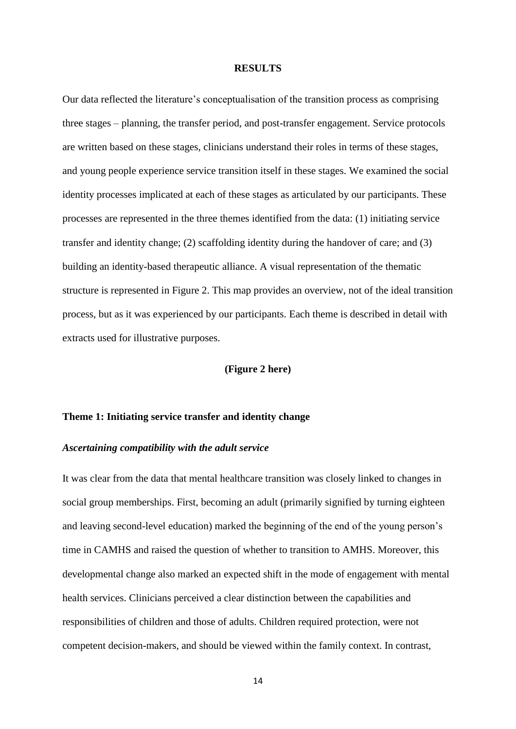#### **RESULTS**

Our data reflected the literature's conceptualisation of the transition process as comprising three stages – planning, the transfer period, and post-transfer engagement. Service protocols are written based on these stages, clinicians understand their roles in terms of these stages, and young people experience service transition itself in these stages. We examined the social identity processes implicated at each of these stages as articulated by our participants. These processes are represented in the three themes identified from the data: (1) initiating service transfer and identity change; (2) scaffolding identity during the handover of care; and (3) building an identity-based therapeutic alliance. A visual representation of the thematic structure is represented in Figure 2. This map provides an overview, not of the ideal transition process, but as it was experienced by our participants. Each theme is described in detail with extracts used for illustrative purposes.

## **(Figure 2 here)**

#### **Theme 1: Initiating service transfer and identity change**

#### *Ascertaining compatibility with the adult service*

It was clear from the data that mental healthcare transition was closely linked to changes in social group memberships. First, becoming an adult (primarily signified by turning eighteen and leaving second-level education) marked the beginning of the end of the young person's time in CAMHS and raised the question of whether to transition to AMHS. Moreover, this developmental change also marked an expected shift in the mode of engagement with mental health services. Clinicians perceived a clear distinction between the capabilities and responsibilities of children and those of adults. Children required protection, were not competent decision-makers, and should be viewed within the family context. In contrast,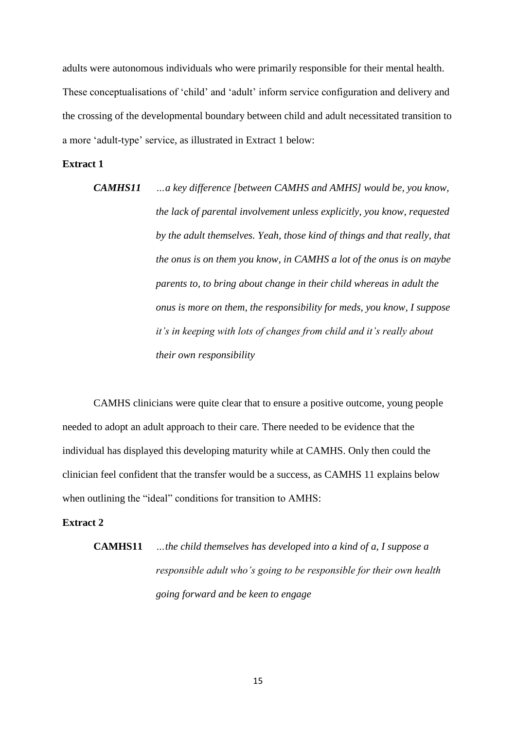adults were autonomous individuals who were primarily responsible for their mental health. These conceptualisations of 'child' and 'adult' inform service configuration and delivery and the crossing of the developmental boundary between child and adult necessitated transition to a more 'adult-type' service, as illustrated in Extract 1 below:

# **Extract 1**

*CAMHS11 …a key difference [between CAMHS and AMHS] would be, you know, the lack of parental involvement unless explicitly, you know, requested by the adult themselves. Yeah, those kind of things and that really, that the onus is on them you know, in CAMHS a lot of the onus is on maybe parents to, to bring about change in their child whereas in adult the onus is more on them, the responsibility for meds, you know, I suppose it's in keeping with lots of changes from child and it's really about their own responsibility*

CAMHS clinicians were quite clear that to ensure a positive outcome, young people needed to adopt an adult approach to their care. There needed to be evidence that the individual has displayed this developing maturity while at CAMHS. Only then could the clinician feel confident that the transfer would be a success, as CAMHS 11 explains below when outlining the "ideal" conditions for transition to AMHS:

#### **Extract 2**

**CAMHS11** *…the child themselves has developed into a kind of a, I suppose a responsible adult who's going to be responsible for their own health going forward and be keen to engage*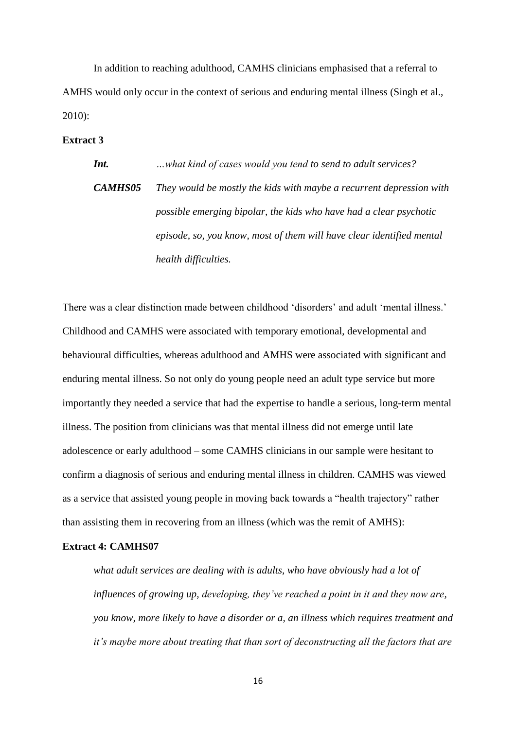In addition to reaching adulthood, CAMHS clinicians emphasised that a referral to AMHS would only occur in the context of serious and enduring mental illness (Singh et al., 2010):

# **Extract 3**

*Int. …what kind of cases would you tend to send to adult services? CAMHS05 They would be mostly the kids with maybe a recurrent depression with possible emerging bipolar, the kids who have had a clear psychotic episode, so, you know, most of them will have clear identified mental health difficulties.* 

There was a clear distinction made between childhood 'disorders' and adult 'mental illness.' Childhood and CAMHS were associated with temporary emotional, developmental and behavioural difficulties, whereas adulthood and AMHS were associated with significant and enduring mental illness. So not only do young people need an adult type service but more importantly they needed a service that had the expertise to handle a serious, long-term mental illness. The position from clinicians was that mental illness did not emerge until late adolescence or early adulthood – some CAMHS clinicians in our sample were hesitant to confirm a diagnosis of serious and enduring mental illness in children. CAMHS was viewed as a service that assisted young people in moving back towards a "health trajectory" rather than assisting them in recovering from an illness (which was the remit of AMHS):

# **Extract 4: CAMHS07**

*what adult services are dealing with is adults, who have obviously had a lot of influences of growing up, developing, they've reached a point in it and they now are, you know, more likely to have a disorder or a, an illness which requires treatment and it's maybe more about treating that than sort of deconstructing all the factors that are*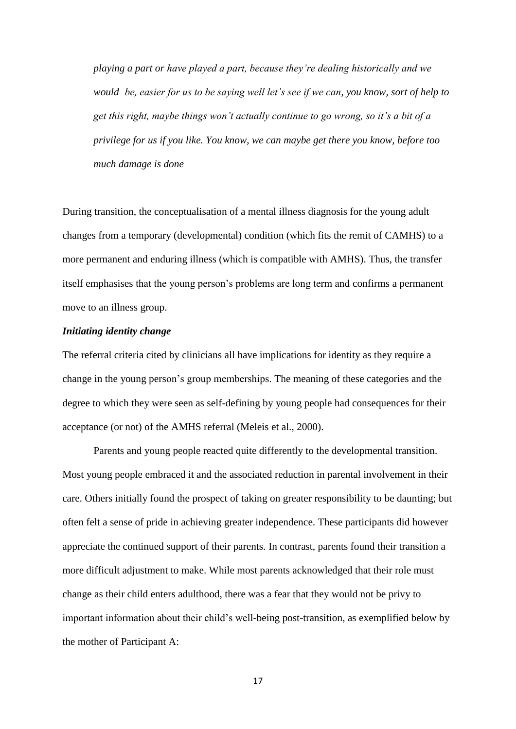*playing a part or have played a part, because they're dealing historically and we would be, easier for us to be saying well let's see if we can, you know, sort of help to get this right, maybe things won't actually continue to go wrong, so it's a bit of a privilege for us if you like. You know, we can maybe get there you know, before too much damage is done*

During transition, the conceptualisation of a mental illness diagnosis for the young adult changes from a temporary (developmental) condition (which fits the remit of CAMHS) to a more permanent and enduring illness (which is compatible with AMHS). Thus, the transfer itself emphasises that the young person's problems are long term and confirms a permanent move to an illness group.

# *Initiating identity change*

The referral criteria cited by clinicians all have implications for identity as they require a change in the young person's group memberships. The meaning of these categories and the degree to which they were seen as self-defining by young people had consequences for their acceptance (or not) of the AMHS referral (Meleis et al., 2000).

Parents and young people reacted quite differently to the developmental transition. Most young people embraced it and the associated reduction in parental involvement in their care. Others initially found the prospect of taking on greater responsibility to be daunting; but often felt a sense of pride in achieving greater independence. These participants did however appreciate the continued support of their parents. In contrast, parents found their transition a more difficult adjustment to make. While most parents acknowledged that their role must change as their child enters adulthood, there was a fear that they would not be privy to important information about their child's well-being post-transition, as exemplified below by the mother of Participant A: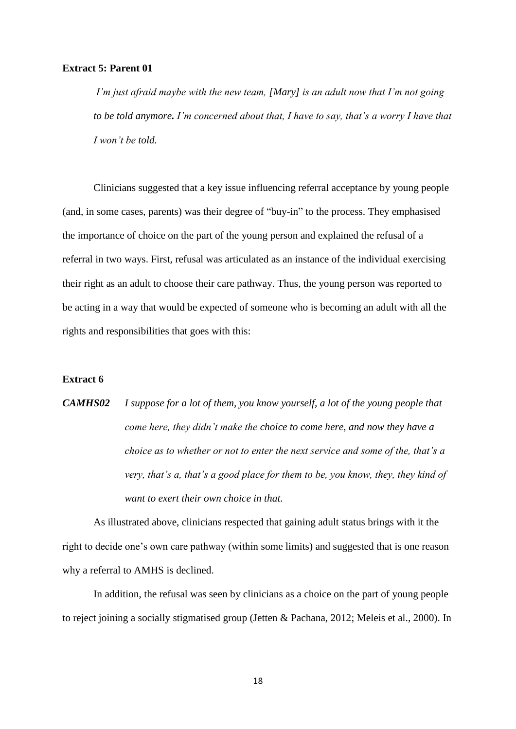#### **Extract 5: Parent 01**

*I'm just afraid maybe with the new team, [Mary] is an adult now that I'm not going to be told anymore. I'm concerned about that, I have to say, that's a worry I have that I won't be told.*

Clinicians suggested that a key issue influencing referral acceptance by young people (and, in some cases, parents) was their degree of "buy-in" to the process. They emphasised the importance of choice on the part of the young person and explained the refusal of a referral in two ways. First, refusal was articulated as an instance of the individual exercising their right as an adult to choose their care pathway. Thus, the young person was reported to be acting in a way that would be expected of someone who is becoming an adult with all the rights and responsibilities that goes with this:

# **Extract 6**

*CAMHS02 I suppose for a lot of them, you know yourself, a lot of the young people that come here, they didn't make the choice to come here, and now they have a choice as to whether or not to enter the next service and some of the, that's a very, that's a, that's a good place for them to be, you know, they, they kind of want to exert their own choice in that.* 

As illustrated above, clinicians respected that gaining adult status brings with it the right to decide one's own care pathway (within some limits) and suggested that is one reason why a referral to AMHS is declined.

In addition, the refusal was seen by clinicians as a choice on the part of young people to reject joining a socially stigmatised group (Jetten & Pachana, 2012; Meleis et al., 2000). In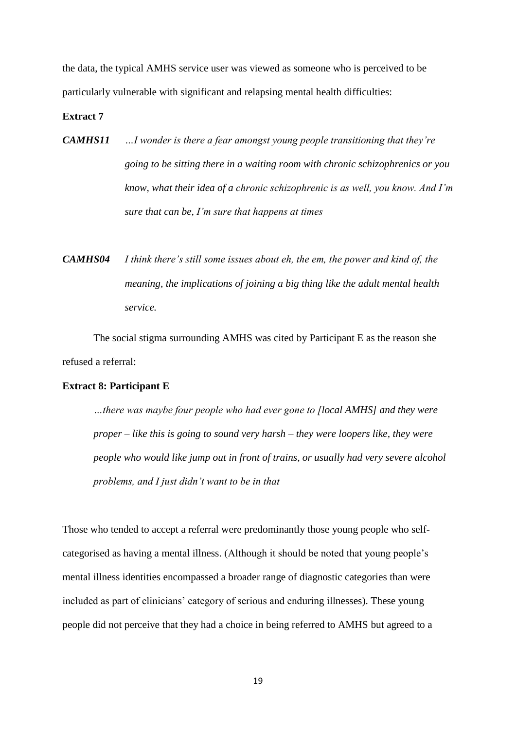the data, the typical AMHS service user was viewed as someone who is perceived to be particularly vulnerable with significant and relapsing mental health difficulties:

#### **Extract 7**

- *CAMHS11 …I wonder is there a fear amongst young people transitioning that they're going to be sitting there in a waiting room with chronic schizophrenics or you know, what their idea of a chronic schizophrenic is as well, you know. And I'm sure that can be, I'm sure that happens at times*
- *CAMHS04 I think there's still some issues about eh, the em, the power and kind of, the meaning, the implications of joining a big thing like the adult mental health service.*

The social stigma surrounding AMHS was cited by Participant E as the reason she refused a referral:

#### **Extract 8: Participant E**

*…there was maybe four people who had ever gone to [local AMHS] and they were proper – like this is going to sound very harsh – they were loopers like, they were people who would like jump out in front of trains, or usually had very severe alcohol problems, and I just didn't want to be in that*

Those who tended to accept a referral were predominantly those young people who selfcategorised as having a mental illness. (Although it should be noted that young people's mental illness identities encompassed a broader range of diagnostic categories than were included as part of clinicians' category of serious and enduring illnesses). These young people did not perceive that they had a choice in being referred to AMHS but agreed to a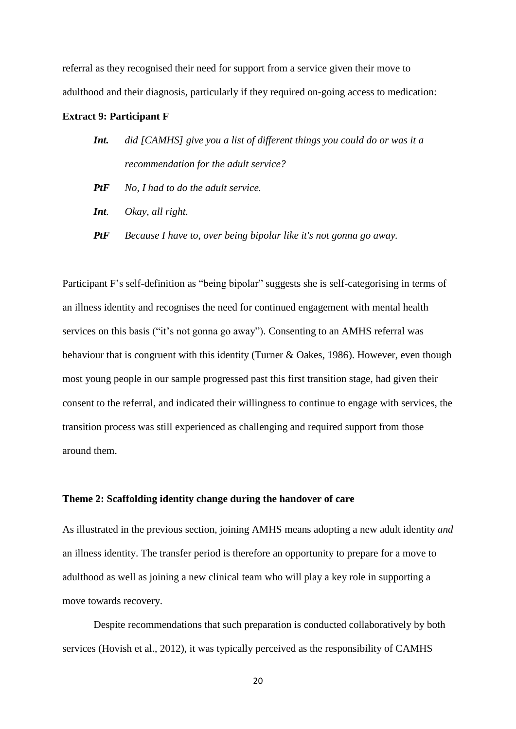referral as they recognised their need for support from a service given their move to adulthood and their diagnosis, particularly if they required on-going access to medication:

## **Extract 9: Participant F**

- *Int. did [CAMHS] give you a list of different things you could do or was it a recommendation for the adult service?*
- *PtF No, I had to do the adult service.*
- *Int. Okay, all right.*
- *PtF Because I have to, over being bipolar like it's not gonna go away.*

Participant F's self-definition as "being bipolar" suggests she is self-categorising in terms of an illness identity and recognises the need for continued engagement with mental health services on this basis ("it's not gonna go away"). Consenting to an AMHS referral was behaviour that is congruent with this identity (Turner & Oakes, 1986). However, even though most young people in our sample progressed past this first transition stage, had given their consent to the referral, and indicated their willingness to continue to engage with services, the transition process was still experienced as challenging and required support from those around them.

# **Theme 2: Scaffolding identity change during the handover of care**

As illustrated in the previous section, joining AMHS means adopting a new adult identity *and* an illness identity. The transfer period is therefore an opportunity to prepare for a move to adulthood as well as joining a new clinical team who will play a key role in supporting a move towards recovery.

Despite recommendations that such preparation is conducted collaboratively by both services (Hovish et al., 2012), it was typically perceived as the responsibility of CAMHS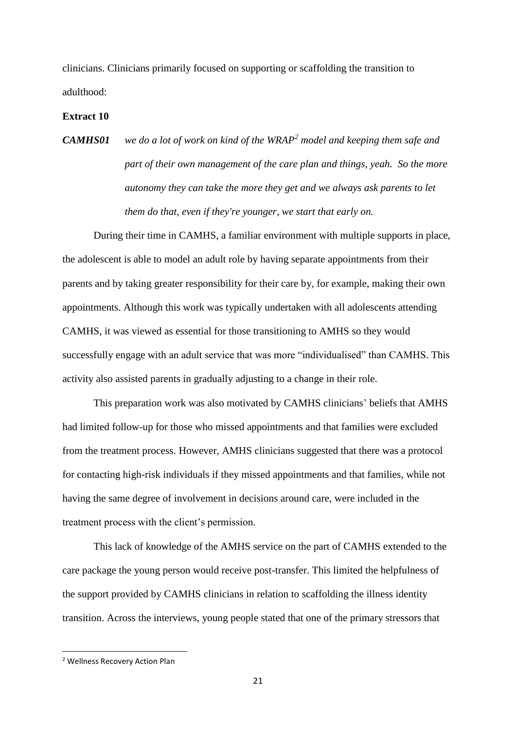clinicians. Clinicians primarily focused on supporting or scaffolding the transition to adulthood:

#### **Extract 10**

*CAMHS01 we do a lot of work on kind of the WRAP<sup>2</sup> model and keeping them safe and part of their own management of the care plan and things, yeah. So the more autonomy they can take the more they get and we always ask parents to let them do that, even if they're younger, we start that early on.*

During their time in CAMHS, a familiar environment with multiple supports in place, the adolescent is able to model an adult role by having separate appointments from their parents and by taking greater responsibility for their care by, for example, making their own appointments. Although this work was typically undertaken with all adolescents attending CAMHS, it was viewed as essential for those transitioning to AMHS so they would successfully engage with an adult service that was more "individualised" than CAMHS. This activity also assisted parents in gradually adjusting to a change in their role.

This preparation work was also motivated by CAMHS clinicians' beliefs that AMHS had limited follow-up for those who missed appointments and that families were excluded from the treatment process. However, AMHS clinicians suggested that there was a protocol for contacting high-risk individuals if they missed appointments and that families, while not having the same degree of involvement in decisions around care, were included in the treatment process with the client's permission.

This lack of knowledge of the AMHS service on the part of CAMHS extended to the care package the young person would receive post-transfer. This limited the helpfulness of the support provided by CAMHS clinicians in relation to scaffolding the illness identity transition. Across the interviews, young people stated that one of the primary stressors that

**.** 

<sup>2</sup> Wellness Recovery Action Plan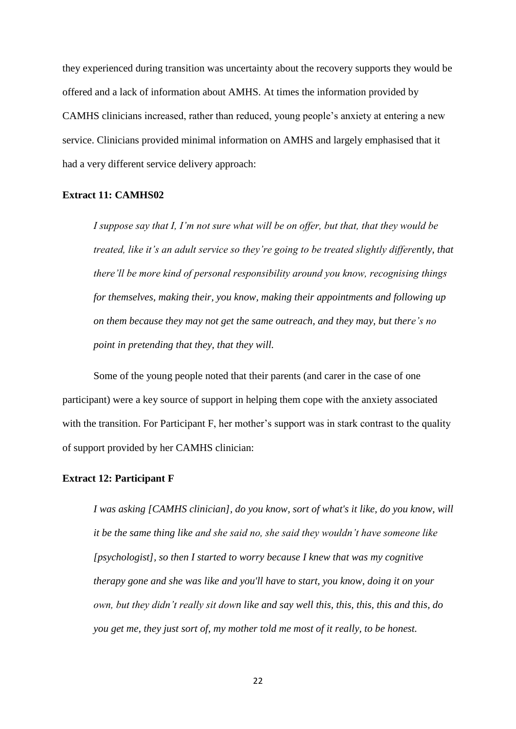they experienced during transition was uncertainty about the recovery supports they would be offered and a lack of information about AMHS. At times the information provided by CAMHS clinicians increased, rather than reduced, young people's anxiety at entering a new service. Clinicians provided minimal information on AMHS and largely emphasised that it had a very different service delivery approach:

# **Extract 11: CAMHS02**

*I suppose say that I, I'm not sure what will be on offer, but that, that they would be treated, like it's an adult service so they're going to be treated slightly differently, that there'll be more kind of personal responsibility around you know, recognising things for themselves, making their, you know, making their appointments and following up on them because they may not get the same outreach, and they may, but there's no point in pretending that they, that they will.* 

Some of the young people noted that their parents (and carer in the case of one participant) were a key source of support in helping them cope with the anxiety associated with the transition. For Participant F, her mother's support was in stark contrast to the quality of support provided by her CAMHS clinician:

## **Extract 12: Participant F**

*I was asking [CAMHS clinician], do you know, sort of what's it like, do you know, will it be the same thing like and she said no, she said they wouldn't have someone like [psychologist], so then I started to worry because I knew that was my cognitive therapy gone and she was like and you'll have to start, you know, doing it on your own, but they didn't really sit down like and say well this, this, this, this and this, do you get me, they just sort of, my mother told me most of it really, to be honest.*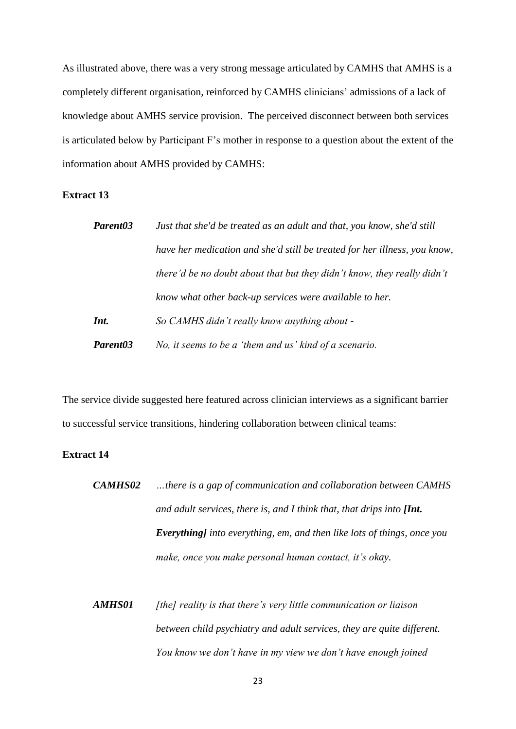As illustrated above, there was a very strong message articulated by CAMHS that AMHS is a completely different organisation, reinforced by CAMHS clinicians' admissions of a lack of knowledge about AMHS service provision. The perceived disconnect between both services is articulated below by Participant F's mother in response to a question about the extent of the information about AMHS provided by CAMHS:

# **Extract 13**

| Parent03 | Just that she'd be treated as an adult and that, you know, she'd still    |  |  |  |  |
|----------|---------------------------------------------------------------------------|--|--|--|--|
|          | have her medication and she'd still be treated for her illness, you know, |  |  |  |  |
|          | there'd be no doubt about that but they didn't know, they really didn't   |  |  |  |  |
|          | know what other back-up services were available to her.                   |  |  |  |  |
| Int.     | So CAMHS didn't really know anything about -                              |  |  |  |  |
| Parent03 | No, it seems to be a 'them and us' kind of a scenario.                    |  |  |  |  |

The service divide suggested here featured across clinician interviews as a significant barrier to successful service transitions, hindering collaboration between clinical teams:

# **Extract 14**

| <i><b>CAMHS02</b></i> | there is a gap of communication and collaboration between CAMHS               |  |  |  |  |
|-----------------------|-------------------------------------------------------------------------------|--|--|--|--|
|                       | and adult services, there is, and I think that, that drips into $[Int.$       |  |  |  |  |
|                       | <b>Everything</b> into everything, em, and then like lots of things, once you |  |  |  |  |
|                       | make, once you make personal human contact, it's okay.                        |  |  |  |  |

*AMHS01 [the] reality is that there's very little communication or liaison between child psychiatry and adult services, they are quite different. You know we don't have in my view we don't have enough joined*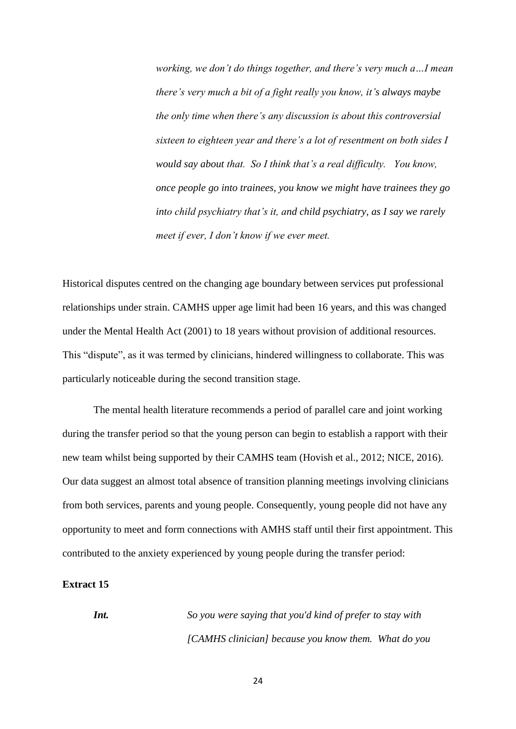*working, we don't do things together, and there's very much a…I mean there's very much a bit of a fight really you know, it's always maybe the only time when there's any discussion is about this controversial sixteen to eighteen year and there's a lot of resentment on both sides I would say about that. So I think that's a real difficulty. You know, once people go into trainees, you know we might have trainees they go into child psychiatry that's it, and child psychiatry, as I say we rarely meet if ever, I don't know if we ever meet.*

Historical disputes centred on the changing age boundary between services put professional relationships under strain. CAMHS upper age limit had been 16 years, and this was changed under the Mental Health Act (2001) to 18 years without provision of additional resources. This "dispute", as it was termed by clinicians, hindered willingness to collaborate. This was particularly noticeable during the second transition stage.

The mental health literature recommends a period of parallel care and joint working during the transfer period so that the young person can begin to establish a rapport with their new team whilst being supported by their CAMHS team (Hovish et al., 2012; NICE, 2016). Our data suggest an almost total absence of transition planning meetings involving clinicians from both services, parents and young people. Consequently, young people did not have any opportunity to meet and form connections with AMHS staff until their first appointment. This contributed to the anxiety experienced by young people during the transfer period:

# **Extract 15**

*Int. So you were saying that you'd kind of prefer to stay with [CAMHS clinician] because you know them. What do you*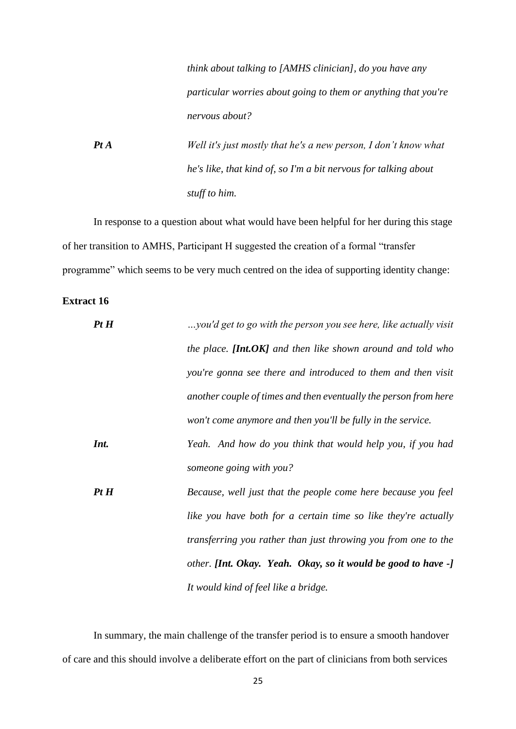*think about talking to [AMHS clinician], do you have any particular worries about going to them or anything that you're nervous about?*

*Pt A Well it's just mostly that he's a new person, I don't know what he's like, that kind of, so I'm a bit nervous for talking about stuff to him.*

In response to a question about what would have been helpful for her during this stage of her transition to AMHS, Participant H suggested the creation of a formal "transfer programme" which seems to be very much centred on the idea of supporting identity change:

# **Extract 16**

| PtH  | you'd get to go with the person you see here, like actually visit |
|------|-------------------------------------------------------------------|
|      | the place. [Int.OK] and then like shown around and told who       |
|      | you're gonna see there and introduced to them and then visit      |
|      | another couple of times and then eventually the person from here  |
|      | won't come anymore and then you'll be fully in the service.       |
| Int. | Yeah. And how do you think that would help you, if you had        |
|      | someone going with you?                                           |
| PtH  | Because, well just that the people come here because you feel     |
|      | like you have both for a certain time so like they're actually    |
|      | transferring you rather than just throwing you from one to the    |
|      | other. [Int. Okay. Yeah. Okay, so it would be good to have -]     |
|      | It would kind of feel like a bridge.                              |

In summary, the main challenge of the transfer period is to ensure a smooth handover of care and this should involve a deliberate effort on the part of clinicians from both services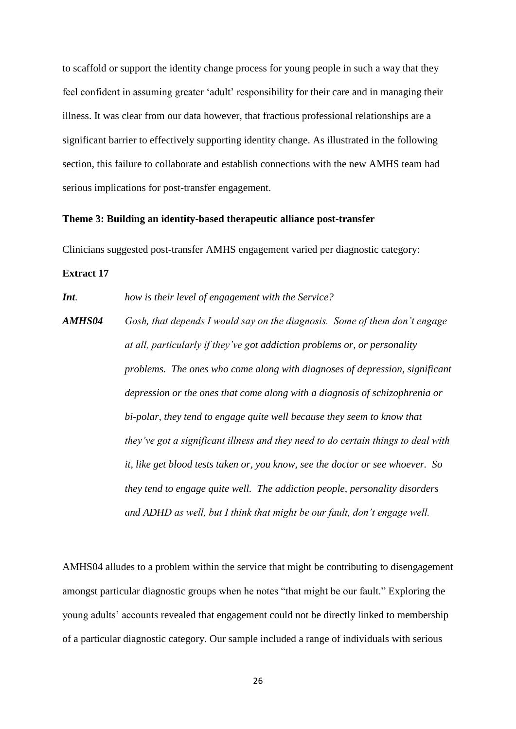to scaffold or support the identity change process for young people in such a way that they feel confident in assuming greater 'adult' responsibility for their care and in managing their illness. It was clear from our data however, that fractious professional relationships are a significant barrier to effectively supporting identity change. As illustrated in the following section, this failure to collaborate and establish connections with the new AMHS team had serious implications for post-transfer engagement.

## **Theme 3: Building an identity-based therapeutic alliance post-transfer**

Clinicians suggested post-transfer AMHS engagement varied per diagnostic category:

#### **Extract 17**

*Int. how is their level of engagement with the Service?*

*AMHS04 Gosh, that depends I would say on the diagnosis. Some of them don't engage at all, particularly if they've got addiction problems or, or personality problems. The ones who come along with diagnoses of depression, significant depression or the ones that come along with a diagnosis of schizophrenia or bi-polar, they tend to engage quite well because they seem to know that they've got a significant illness and they need to do certain things to deal with it, like get blood tests taken or, you know, see the doctor or see whoever. So they tend to engage quite well. The addiction people, personality disorders and ADHD as well, but I think that might be our fault, don't engage well.* 

AMHS04 alludes to a problem within the service that might be contributing to disengagement amongst particular diagnostic groups when he notes "that might be our fault." Exploring the young adults' accounts revealed that engagement could not be directly linked to membership of a particular diagnostic category. Our sample included a range of individuals with serious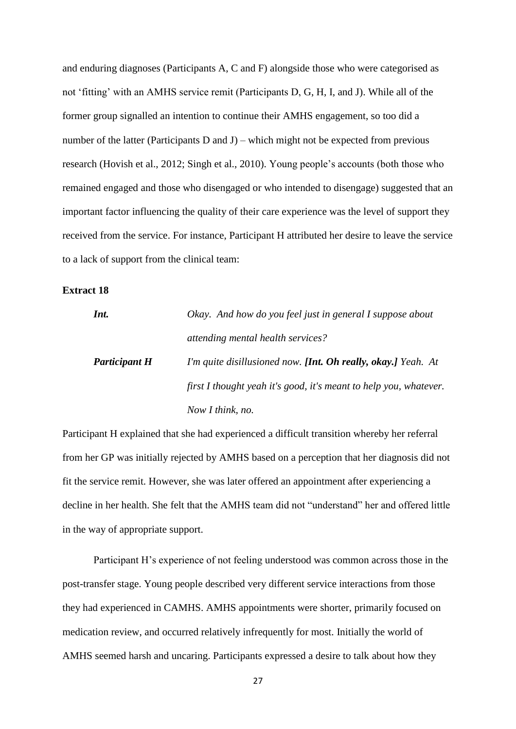and enduring diagnoses (Participants A, C and F) alongside those who were categorised as not 'fitting' with an AMHS service remit (Participants D, G, H, I, and J). While all of the former group signalled an intention to continue their AMHS engagement, so too did a number of the latter (Participants D and J) – which might not be expected from previous research (Hovish et al., 2012; Singh et al., 2010). Young people's accounts (both those who remained engaged and those who disengaged or who intended to disengage) suggested that an important factor influencing the quality of their care experience was the level of support they received from the service. For instance, Participant H attributed her desire to leave the service to a lack of support from the clinical team:

# **Extract 18**

| Int.                 | Okay. And how do you feel just in general I suppose about            |  |  |  |  |
|----------------------|----------------------------------------------------------------------|--|--|--|--|
|                      | attending mental health services?                                    |  |  |  |  |
| <b>Participant H</b> | I'm quite disillusioned now. <b>[Int. Oh really, okay.]</b> Yeah. At |  |  |  |  |
|                      | first I thought yeah it's good, it's meant to help you, whatever.    |  |  |  |  |
|                      | Now I think, no.                                                     |  |  |  |  |

Participant H explained that she had experienced a difficult transition whereby her referral from her GP was initially rejected by AMHS based on a perception that her diagnosis did not fit the service remit. However, she was later offered an appointment after experiencing a decline in her health. She felt that the AMHS team did not "understand" her and offered little in the way of appropriate support.

Participant H's experience of not feeling understood was common across those in the post-transfer stage. Young people described very different service interactions from those they had experienced in CAMHS. AMHS appointments were shorter, primarily focused on medication review, and occurred relatively infrequently for most. Initially the world of AMHS seemed harsh and uncaring. Participants expressed a desire to talk about how they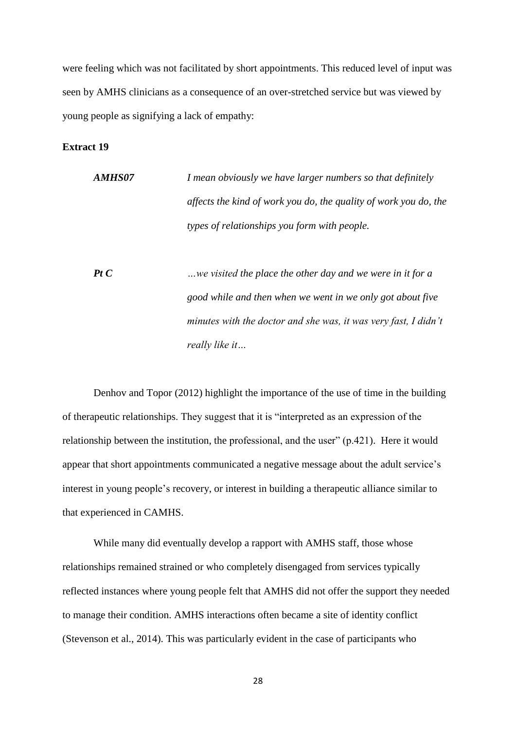were feeling which was not facilitated by short appointments. This reduced level of input was seen by AMHS clinicians as a consequence of an over-stretched service but was viewed by young people as signifying a lack of empathy:

# **Extract 19**

*AMHS07 I mean obviously we have larger numbers so that definitely affects the kind of work you do, the quality of work you do, the types of relationships you form with people.*

*Pt C …we visited the place the other day and we were in it for a good while and then when we went in we only got about five minutes with the doctor and she was, it was very fast, I didn't really like it…*

Denhov and Topor (2012) highlight the importance of the use of time in the building of therapeutic relationships. They suggest that it is "interpreted as an expression of the relationship between the institution, the professional, and the user" (p.421). Here it would appear that short appointments communicated a negative message about the adult service's interest in young people's recovery, or interest in building a therapeutic alliance similar to that experienced in CAMHS.

While many did eventually develop a rapport with AMHS staff, those whose relationships remained strained or who completely disengaged from services typically reflected instances where young people felt that AMHS did not offer the support they needed to manage their condition. AMHS interactions often became a site of identity conflict (Stevenson et al., 2014). This was particularly evident in the case of participants who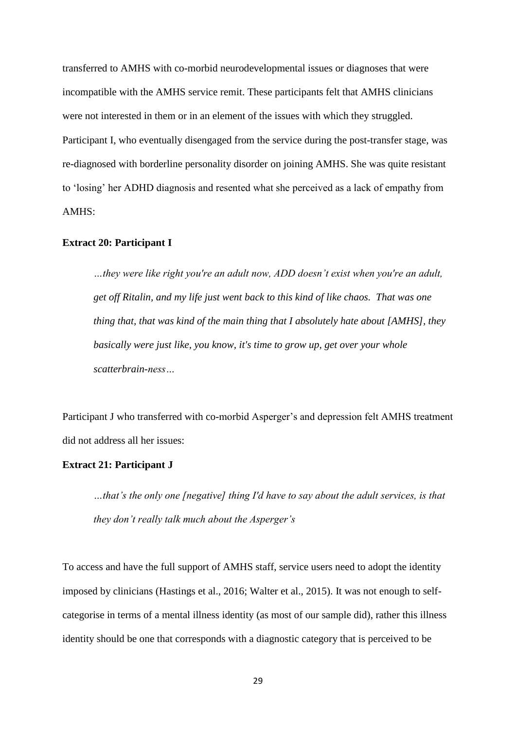transferred to AMHS with co-morbid neurodevelopmental issues or diagnoses that were incompatible with the AMHS service remit. These participants felt that AMHS clinicians were not interested in them or in an element of the issues with which they struggled. Participant I, who eventually disengaged from the service during the post-transfer stage, was re-diagnosed with borderline personality disorder on joining AMHS. She was quite resistant to 'losing' her ADHD diagnosis and resented what she perceived as a lack of empathy from AMHS:

#### **Extract 20: Participant I**

*…they were like right you're an adult now, ADD doesn't exist when you're an adult, get off Ritalin, and my life just went back to this kind of like chaos. That was one thing that, that was kind of the main thing that I absolutely hate about [AMHS], they basically were just like, you know, it's time to grow up, get over your whole scatterbrain-ness…*

Participant J who transferred with co-morbid Asperger's and depression felt AMHS treatment did not address all her issues:

## **Extract 21: Participant J**

*…that's the only one [negative] thing I'd have to say about the adult services, is that they don't really talk much about the Asperger's*

To access and have the full support of AMHS staff, service users need to adopt the identity imposed by clinicians (Hastings et al., 2016; Walter et al., 2015). It was not enough to selfcategorise in terms of a mental illness identity (as most of our sample did), rather this illness identity should be one that corresponds with a diagnostic category that is perceived to be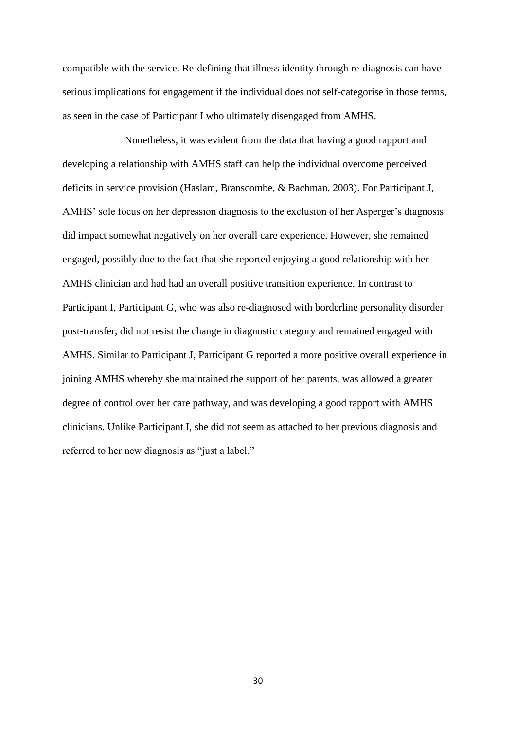compatible with the service. Re-defining that illness identity through re-diagnosis can have serious implications for engagement if the individual does not self-categorise in those terms, as seen in the case of Participant I who ultimately disengaged from AMHS.

Nonetheless, it was evident from the data that having a good rapport and developing a relationship with AMHS staff can help the individual overcome perceived deficits in service provision (Haslam, Branscombe, & Bachman, 2003). For Participant J, AMHS' sole focus on her depression diagnosis to the exclusion of her Asperger's diagnosis did impact somewhat negatively on her overall care experience. However, she remained engaged, possibly due to the fact that she reported enjoying a good relationship with her AMHS clinician and had had an overall positive transition experience. In contrast to Participant I, Participant G, who was also re-diagnosed with borderline personality disorder post-transfer, did not resist the change in diagnostic category and remained engaged with AMHS. Similar to Participant J, Participant G reported a more positive overall experience in joining AMHS whereby she maintained the support of her parents, was allowed a greater degree of control over her care pathway, and was developing a good rapport with AMHS clinicians. Unlike Participant I, she did not seem as attached to her previous diagnosis and referred to her new diagnosis as "just a label."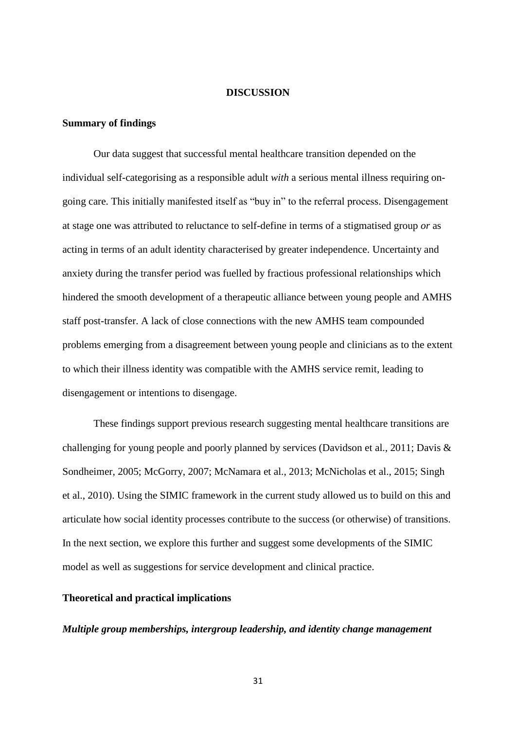#### **DISCUSSION**

## **Summary of findings**

Our data suggest that successful mental healthcare transition depended on the individual self-categorising as a responsible adult *with* a serious mental illness requiring ongoing care. This initially manifested itself as "buy in" to the referral process. Disengagement at stage one was attributed to reluctance to self-define in terms of a stigmatised group *or* as acting in terms of an adult identity characterised by greater independence. Uncertainty and anxiety during the transfer period was fuelled by fractious professional relationships which hindered the smooth development of a therapeutic alliance between young people and AMHS staff post-transfer. A lack of close connections with the new AMHS team compounded problems emerging from a disagreement between young people and clinicians as to the extent to which their illness identity was compatible with the AMHS service remit, leading to disengagement or intentions to disengage.

These findings support previous research suggesting mental healthcare transitions are challenging for young people and poorly planned by services (Davidson et al., 2011; Davis & Sondheimer, 2005; McGorry, 2007; McNamara et al., 2013; McNicholas et al., 2015; Singh et al., 2010). Using the SIMIC framework in the current study allowed us to build on this and articulate how social identity processes contribute to the success (or otherwise) of transitions. In the next section, we explore this further and suggest some developments of the SIMIC model as well as suggestions for service development and clinical practice.

#### **Theoretical and practical implications**

# *Multiple group memberships, intergroup leadership, and identity change management*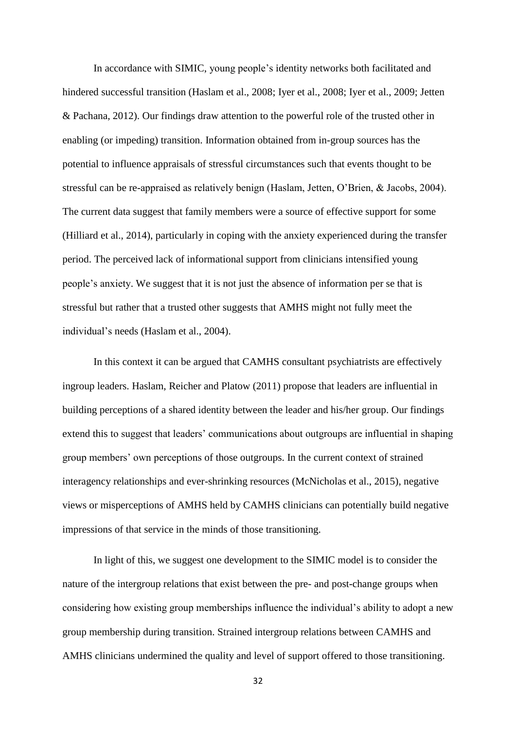In accordance with SIMIC, young people's identity networks both facilitated and hindered successful transition (Haslam et al., 2008; Iyer et al., 2008; Iyer et al., 2009; Jetten & Pachana, 2012). Our findings draw attention to the powerful role of the trusted other in enabling (or impeding) transition. Information obtained from in-group sources has the potential to influence appraisals of stressful circumstances such that events thought to be stressful can be re-appraised as relatively benign (Haslam, Jetten, O'Brien, & Jacobs, 2004). The current data suggest that family members were a source of effective support for some (Hilliard et al., 2014), particularly in coping with the anxiety experienced during the transfer period. The perceived lack of informational support from clinicians intensified young people's anxiety. We suggest that it is not just the absence of information per se that is stressful but rather that a trusted other suggests that AMHS might not fully meet the individual's needs (Haslam et al., 2004).

In this context it can be argued that CAMHS consultant psychiatrists are effectively ingroup leaders. Haslam, Reicher and Platow (2011) propose that leaders are influential in building perceptions of a shared identity between the leader and his/her group. Our findings extend this to suggest that leaders' communications about outgroups are influential in shaping group members' own perceptions of those outgroups. In the current context of strained interagency relationships and ever-shrinking resources (McNicholas et al., 2015), negative views or misperceptions of AMHS held by CAMHS clinicians can potentially build negative impressions of that service in the minds of those transitioning.

In light of this, we suggest one development to the SIMIC model is to consider the nature of the intergroup relations that exist between the pre- and post-change groups when considering how existing group memberships influence the individual's ability to adopt a new group membership during transition. Strained intergroup relations between CAMHS and AMHS clinicians undermined the quality and level of support offered to those transitioning.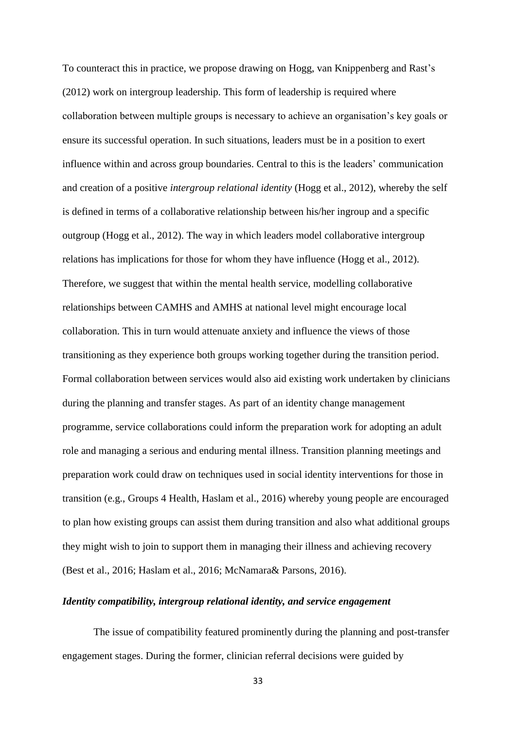To counteract this in practice, we propose drawing on Hogg, van Knippenberg and Rast's (2012) work on intergroup leadership. This form of leadership is required where collaboration between multiple groups is necessary to achieve an organisation's key goals or ensure its successful operation. In such situations, leaders must be in a position to exert influence within and across group boundaries. Central to this is the leaders' communication and creation of a positive *intergroup relational identity* (Hogg et al., 2012), whereby the self is defined in terms of a collaborative relationship between his/her ingroup and a specific outgroup (Hogg et al., 2012). The way in which leaders model collaborative intergroup relations has implications for those for whom they have influence (Hogg et al., 2012). Therefore, we suggest that within the mental health service, modelling collaborative relationships between CAMHS and AMHS at national level might encourage local collaboration. This in turn would attenuate anxiety and influence the views of those transitioning as they experience both groups working together during the transition period. Formal collaboration between services would also aid existing work undertaken by clinicians during the planning and transfer stages. As part of an identity change management programme, service collaborations could inform the preparation work for adopting an adult role and managing a serious and enduring mental illness. Transition planning meetings and preparation work could draw on techniques used in social identity interventions for those in transition (e.g., Groups 4 Health, Haslam et al., 2016) whereby young people are encouraged to plan how existing groups can assist them during transition and also what additional groups they might wish to join to support them in managing their illness and achieving recovery (Best et al., 2016; Haslam et al., 2016; McNamara& Parsons, 2016).

# *Identity compatibility, intergroup relational identity, and service engagement*

The issue of compatibility featured prominently during the planning and post-transfer engagement stages. During the former, clinician referral decisions were guided by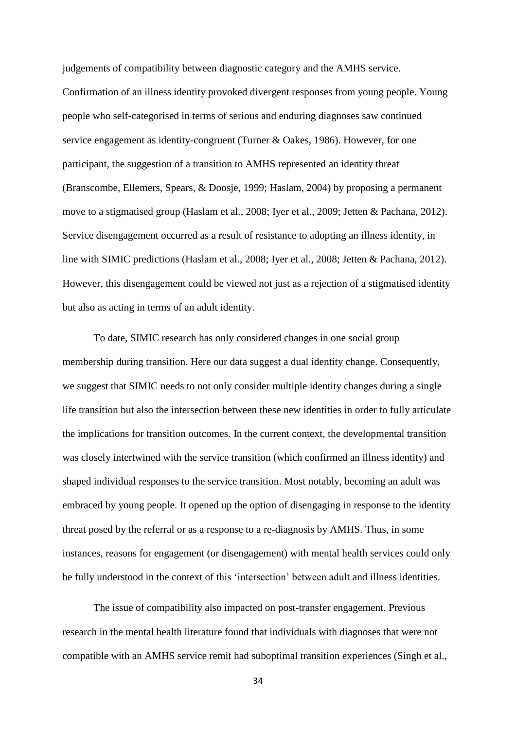judgements of compatibility between diagnostic category and the AMHS service. Confirmation of an illness identity provoked divergent responses from young people. Young people who self-categorised in terms of serious and enduring diagnoses saw continued service engagement as identity-congruent (Turner & Oakes, 1986). However, for one participant, the suggestion of a transition to AMHS represented an identity threat (Branscombe, Ellemers, Spears, & Doosje, 1999; Haslam, 2004) by proposing a permanent move to a stigmatised group (Haslam et al., 2008; Iyer et al., 2009; Jetten & Pachana, 2012). Service disengagement occurred as a result of resistance to adopting an illness identity, in line with SIMIC predictions (Haslam et al., 2008; Iyer et al., 2008; Jetten & Pachana, 2012). However, this disengagement could be viewed not just as a rejection of a stigmatised identity but also as acting in terms of an adult identity.

To date, SIMIC research has only considered changes in one social group membership during transition. Here our data suggest a dual identity change. Consequently, we suggest that SIMIC needs to not only consider multiple identity changes during a single life transition but also the intersection between these new identities in order to fully articulate the implications for transition outcomes. In the current context, the developmental transition was closely intertwined with the service transition (which confirmed an illness identity) and shaped individual responses to the service transition. Most notably, becoming an adult was embraced by young people. It opened up the option of disengaging in response to the identity threat posed by the referral or as a response to a re-diagnosis by AMHS. Thus, in some instances, reasons for engagement (or disengagement) with mental health services could only be fully understood in the context of this 'intersection' between adult and illness identities.

The issue of compatibility also impacted on post-transfer engagement. Previous research in the mental health literature found that individuals with diagnoses that were not compatible with an AMHS service remit had suboptimal transition experiences (Singh et al.,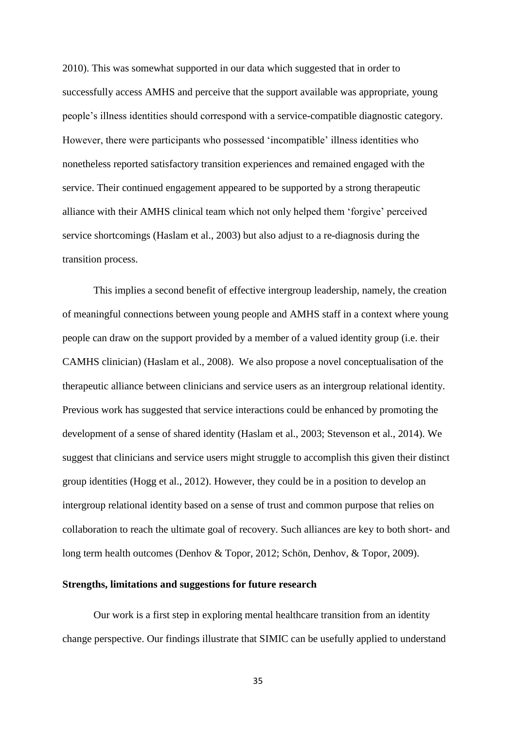2010). This was somewhat supported in our data which suggested that in order to successfully access AMHS and perceive that the support available was appropriate, young people's illness identities should correspond with a service-compatible diagnostic category. However, there were participants who possessed 'incompatible' illness identities who nonetheless reported satisfactory transition experiences and remained engaged with the service. Their continued engagement appeared to be supported by a strong therapeutic alliance with their AMHS clinical team which not only helped them 'forgive' perceived service shortcomings (Haslam et al., 2003) but also adjust to a re-diagnosis during the transition process.

This implies a second benefit of effective intergroup leadership, namely, the creation of meaningful connections between young people and AMHS staff in a context where young people can draw on the support provided by a member of a valued identity group (i.e. their CAMHS clinician) (Haslam et al., 2008). We also propose a novel conceptualisation of the therapeutic alliance between clinicians and service users as an intergroup relational identity. Previous work has suggested that service interactions could be enhanced by promoting the development of a sense of shared identity (Haslam et al., 2003; Stevenson et al., 2014). We suggest that clinicians and service users might struggle to accomplish this given their distinct group identities (Hogg et al., 2012). However, they could be in a position to develop an intergroup relational identity based on a sense of trust and common purpose that relies on collaboration to reach the ultimate goal of recovery. Such alliances are key to both short- and long term health outcomes (Denhov & Topor, 2012; Schön, Denhov, & Topor, 2009).

# **Strengths, limitations and suggestions for future research**

Our work is a first step in exploring mental healthcare transition from an identity change perspective. Our findings illustrate that SIMIC can be usefully applied to understand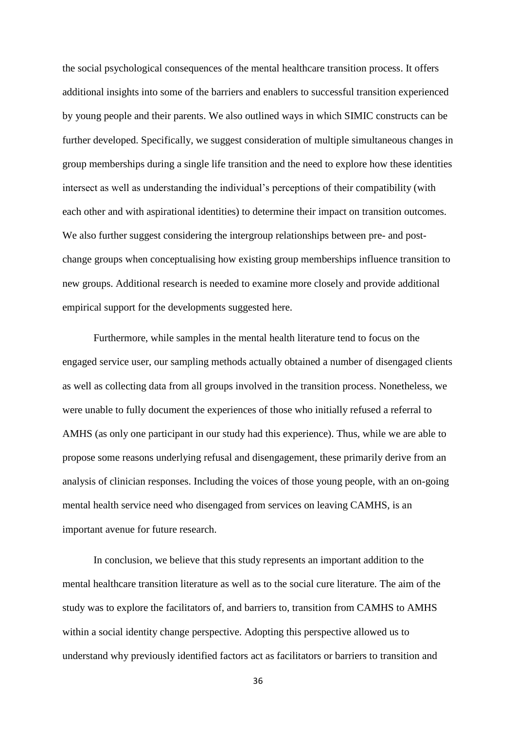the social psychological consequences of the mental healthcare transition process. It offers additional insights into some of the barriers and enablers to successful transition experienced by young people and their parents. We also outlined ways in which SIMIC constructs can be further developed. Specifically, we suggest consideration of multiple simultaneous changes in group memberships during a single life transition and the need to explore how these identities intersect as well as understanding the individual's perceptions of their compatibility (with each other and with aspirational identities) to determine their impact on transition outcomes. We also further suggest considering the intergroup relationships between pre- and postchange groups when conceptualising how existing group memberships influence transition to new groups. Additional research is needed to examine more closely and provide additional empirical support for the developments suggested here.

Furthermore, while samples in the mental health literature tend to focus on the engaged service user, our sampling methods actually obtained a number of disengaged clients as well as collecting data from all groups involved in the transition process. Nonetheless, we were unable to fully document the experiences of those who initially refused a referral to AMHS (as only one participant in our study had this experience). Thus, while we are able to propose some reasons underlying refusal and disengagement, these primarily derive from an analysis of clinician responses. Including the voices of those young people, with an on-going mental health service need who disengaged from services on leaving CAMHS, is an important avenue for future research.

In conclusion, we believe that this study represents an important addition to the mental healthcare transition literature as well as to the social cure literature. The aim of the study was to explore the facilitators of, and barriers to, transition from CAMHS to AMHS within a social identity change perspective. Adopting this perspective allowed us to understand why previously identified factors act as facilitators or barriers to transition and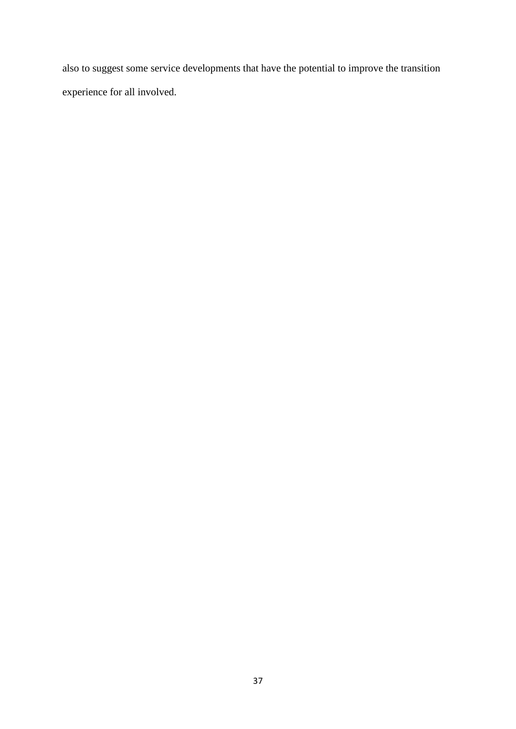also to suggest some service developments that have the potential to improve the transition experience for all involved.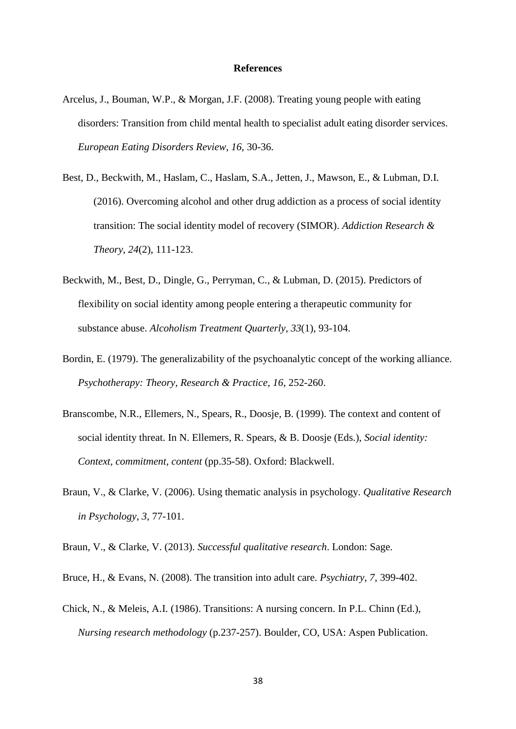#### **References**

- Arcelus, J., Bouman, W.P., & Morgan, J.F. (2008). Treating young people with eating disorders: Transition from child mental health to specialist adult eating disorder services. *European Eating Disorders Review*, *16*, 30-36.
- Best, D., Beckwith, M., Haslam, C., Haslam, S.A., Jetten, J., Mawson, E., & Lubman, D.I. (2016). Overcoming alcohol and other drug addiction as a process of social identity transition: The social identity model of recovery (SIMOR). *Addiction Research & Theory*, *24*(2), 111-123.
- Beckwith, M., Best, D., Dingle, G., Perryman, C., & Lubman, D. (2015). Predictors of flexibility on social identity among people entering a therapeutic community for substance abuse. *Alcoholism Treatment Quarterly*, *33*(1), 93-104.
- Bordin, E. (1979). The generalizability of the psychoanalytic concept of the working alliance. *Psychotherapy: Theory, Research & Practice*, *16*, 252-260.
- Branscombe, N.R., Ellemers, N., Spears, R., Doosje, B. (1999). The context and content of social identity threat. In N. Ellemers, R. Spears, & B. Doosje (Eds.), *Social identity: Context, commitment, content* (pp.35-58). Oxford: Blackwell.
- Braun, V., & Clarke, V. (2006). Using thematic analysis in psychology. *Qualitative Research in Psychology*, *3*, 77-101.
- Braun, V., & Clarke, V. (2013). *Successful qualitative research*. London: Sage.
- Bruce, H., & Evans, N. (2008). The transition into adult care. *Psychiatry*, *7*, 399-402.
- Chick, N., & Meleis, A.I. (1986). Transitions: A nursing concern. In P.L. Chinn (Ed.), *Nursing research methodology* (p.237-257). Boulder, CO, USA: Aspen Publication.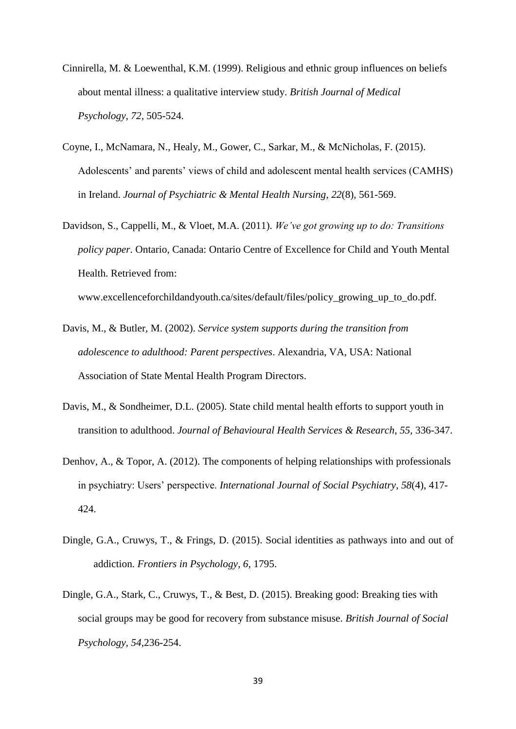- Cinnirella, M. & Loewenthal, K.M. (1999). Religious and ethnic group influences on beliefs about mental illness: a qualitative interview study. *British Journal of Medical Psychology*, *72*, 505-524.
- Coyne, I., McNamara, N., Healy, M., Gower, C., Sarkar, M., & McNicholas, F. (2015). Adolescents' and parents' views of child and adolescent mental health services (CAMHS) in Ireland. *Journal of Psychiatric & Mental Health Nursing*, *22*(8), 561-569.
- Davidson, S., Cappelli, M., & Vloet, M.A. (2011). *We've got growing up to do: Transitions policy paper*. Ontario, Canada: Ontario Centre of Excellence for Child and Youth Mental Health. Retrieved from:

www.excellenceforchildandyouth.ca/sites/default/files/policy\_growing\_up\_to\_do.pdf.

- Davis, M., & Butler, M. (2002). *Service system supports during the transition from adolescence to adulthood: Parent perspectives*. Alexandria, VA, USA: National Association of State Mental Health Program Directors.
- Davis, M., & Sondheimer, D.L. (2005). State child mental health efforts to support youth in transition to adulthood. *Journal of Behavioural Health Services & Research*, *55*, 336-347.
- Denhov, A., & Topor, A. (2012). The components of helping relationships with professionals in psychiatry: Users' perspective. *International Journal of Social Psychiatry*, *58*(4), 417- 424.
- Dingle, G.A., Cruwys, T., & Frings, D. (2015). Social identities as pathways into and out of addiction. *Frontiers in Psychology*, *6*, 1795.
- Dingle, G.A., Stark, C., Cruwys, T., & Best, D. (2015). Breaking good: Breaking ties with social groups may be good for recovery from substance misuse. *British Journal of Social Psychology*, *54*,236-254.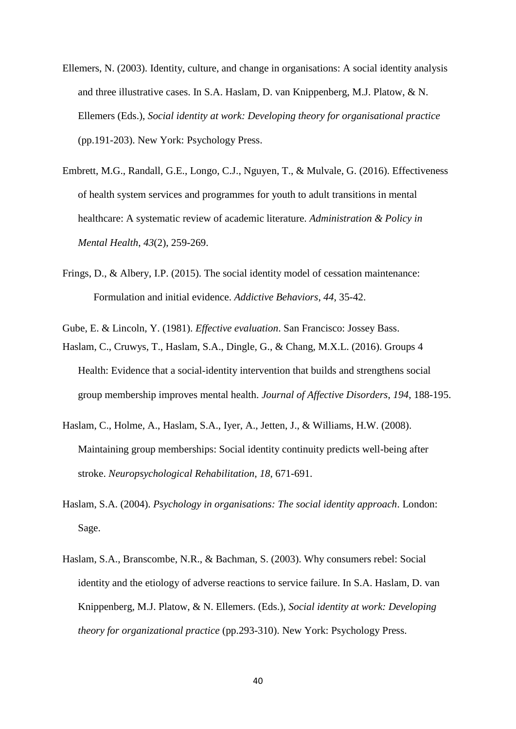- Ellemers, N. (2003). Identity, culture, and change in organisations: A social identity analysis and three illustrative cases. In S.A. Haslam, D. van Knippenberg, M.J. Platow, & N. Ellemers (Eds.), *Social identity at work: Developing theory for organisational practice* (pp.191-203). New York: Psychology Press.
- Embrett, M.G., Randall, G.E., Longo, C.J., Nguyen, T., & Mulvale, G. (2016). Effectiveness of health system services and programmes for youth to adult transitions in mental healthcare: A systematic review of academic literature. *Administration & Policy in Mental Health*, *43*(2), 259-269.
- Frings, D., & Albery, I.P. (2015). The social identity model of cessation maintenance: Formulation and initial evidence. *Addictive Behaviors*, *44*, 35-42.
- Gube, E. & Lincoln, Y. (1981). *Effective evaluation*. San Francisco: Jossey Bass. Haslam, C., Cruwys, T., Haslam, S.A., Dingle, G., & Chang, M.X.L. (2016). Groups 4 Health: Evidence that a social-identity intervention that builds and strengthens social group membership improves mental health. *Journal of Affective Disorders*, *194*, 188-195.
- Haslam, C., Holme, A., Haslam, S.A., Iyer, A., Jetten, J., & Williams, H.W. (2008). Maintaining group memberships: Social identity continuity predicts well-being after stroke. *Neuropsychological Rehabilitation*, *18*, 671-691.
- Haslam, S.A. (2004). *Psychology in organisations: The social identity approach*. London: Sage.
- Haslam, S.A., Branscombe, N.R., & Bachman, S. (2003). Why consumers rebel: Social identity and the etiology of adverse reactions to service failure. In S.A. Haslam, D. van Knippenberg, M.J. Platow, & N. Ellemers. (Eds.), *Social identity at work: Developing theory for organizational practice* (pp.293-310). New York: Psychology Press.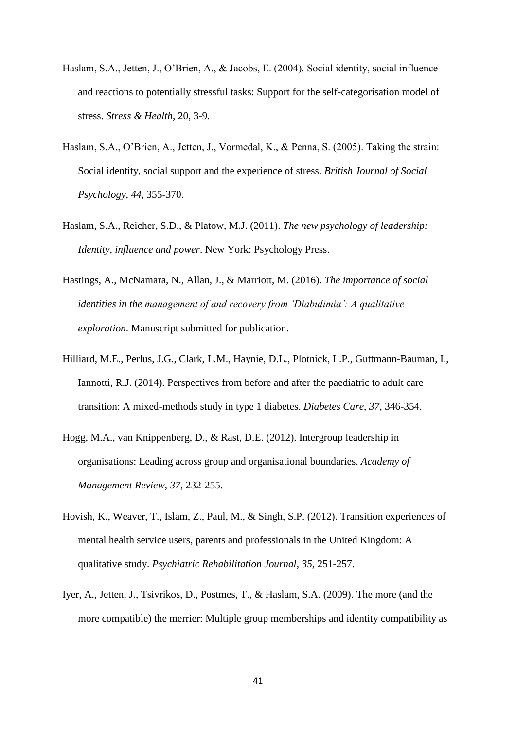- Haslam, S.A., Jetten, J., O'Brien, A., & Jacobs, E. (2004). Social identity, social influence and reactions to potentially stressful tasks: Support for the self-categorisation model of stress. *Stress & Health*, 20, 3-9.
- Haslam, S.A., O'Brien, A., Jetten, J., Vormedal, K., & Penna, S. (2005). Taking the strain: Social identity, social support and the experience of stress. *British Journal of Social Psychology*, *44*, 355-370.
- Haslam, S.A., Reicher, S.D., & Platow, M.J. (2011). *The new psychology of leadership: Identity, influence and power*. New York: Psychology Press.
- Hastings, A., McNamara, N., Allan, J., & Marriott, M. (2016). *The importance of social identities in the management of and recovery from 'Diabulimia': A qualitative exploration*. Manuscript submitted for publication.
- Hilliard, M.E., Perlus, J.G., Clark, L.M., Haynie, D.L., Plotnick, L.P., Guttmann-Bauman, I., Iannotti, R.J. (2014). Perspectives from before and after the paediatric to adult care transition: A mixed-methods study in type 1 diabetes. *Diabetes Care*, *37*, 346-354.
- Hogg, M.A., van Knippenberg, D., & Rast, D.E. (2012). Intergroup leadership in organisations: Leading across group and organisational boundaries. *Academy of Management Review*, *37*, 232-255.
- Hovish, K., Weaver, T., Islam, Z., Paul, M., & Singh, S.P. (2012). Transition experiences of mental health service users, parents and professionals in the United Kingdom: A qualitative study. *Psychiatric Rehabilitation Journal*, *35*, 251-257.
- Iyer, A., Jetten, J., Tsivrikos, D., Postmes, T., & Haslam, S.A. (2009). The more (and the more compatible) the merrier: Multiple group memberships and identity compatibility as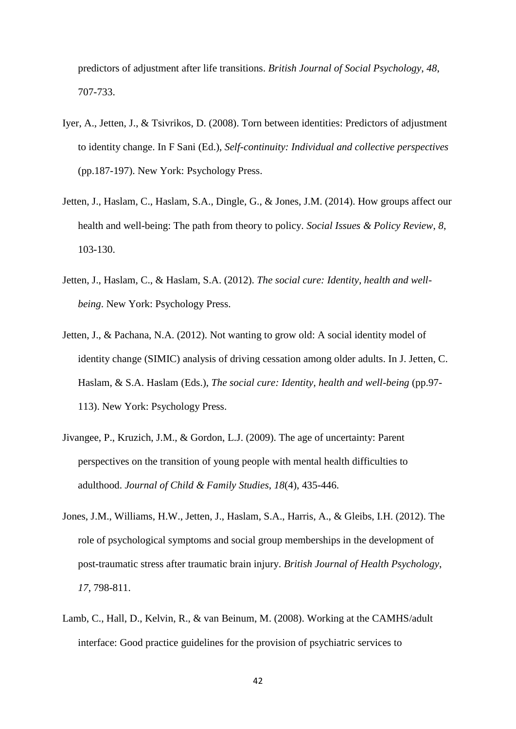predictors of adjustment after life transitions. *British Journal of Social Psychology*, *48*, 707-733.

- Iyer, A., Jetten, J., & Tsivrikos, D. (2008). Torn between identities: Predictors of adjustment to identity change. In F Sani (Ed.), *Self-continuity: Individual and collective perspectives* (pp.187-197). New York: Psychology Press.
- Jetten, J., Haslam, C., Haslam, S.A., Dingle, G., & Jones, J.M. (2014). How groups affect our health and well-being: The path from theory to policy. *Social Issues & Policy Review*, *8*, 103-130.
- Jetten, J., Haslam, C., & Haslam, S.A. (2012). *The social cure: Identity, health and wellbeing*. New York: Psychology Press.
- Jetten, J., & Pachana, N.A. (2012). Not wanting to grow old: A social identity model of identity change (SIMIC) analysis of driving cessation among older adults. In J. Jetten, C. Haslam, & S.A. Haslam (Eds.), *The social cure: Identity, health and well-being* (pp.97- 113). New York: Psychology Press.
- Jivangee, P., Kruzich, J.M., & Gordon, L.J. (2009). The age of uncertainty: Parent perspectives on the transition of young people with mental health difficulties to adulthood. *Journal of Child & Family Studies*, *18*(4), 435-446.
- Jones, J.M., Williams, H.W., Jetten, J., Haslam, S.A., Harris, A., & Gleibs, I.H. (2012). The role of psychological symptoms and social group memberships in the development of post-traumatic stress after traumatic brain injury. *British Journal of Health Psychology*, *17*, 798-811.
- Lamb, C., Hall, D., Kelvin, R., & van Beinum, M. (2008). Working at the CAMHS/adult interface: Good practice guidelines for the provision of psychiatric services to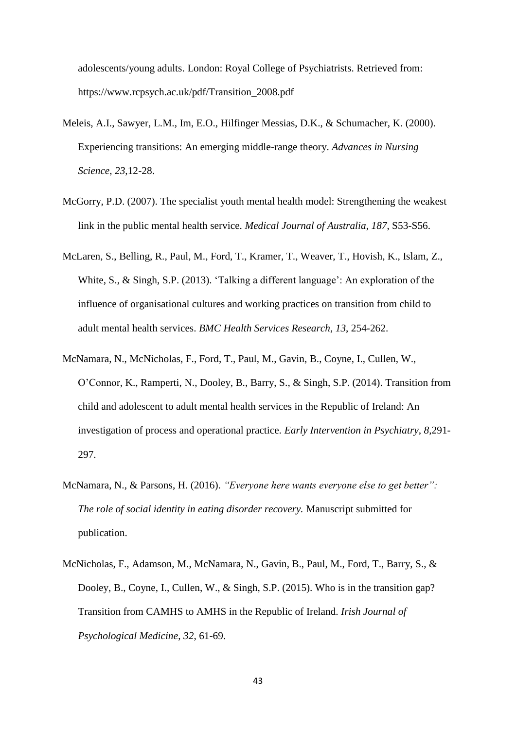adolescents/young adults. London: Royal College of Psychiatrists. Retrieved from: https://www.rcpsych.ac.uk/pdf/Transition\_2008.pdf

- Meleis, A.I., Sawyer, L.M., Im, E.O., Hilfinger Messias, D.K., & Schumacher, K. (2000). Experiencing transitions: An emerging middle-range theory. *Advances in Nursing Science*, *23*,12-28.
- McGorry, P.D. (2007). The specialist youth mental health model: Strengthening the weakest link in the public mental health service. *Medical Journal of Australia*, *187*, S53-S56.
- McLaren, S., Belling, R., Paul, M., Ford, T., Kramer, T., Weaver, T., Hovish, K., Islam, Z., White, S., & Singh, S.P. (2013). 'Talking a different language': An exploration of the influence of organisational cultures and working practices on transition from child to adult mental health services. *BMC Health Services Research*, *13*, 254-262.
- McNamara, N., McNicholas, F., Ford, T., Paul, M., Gavin, B., Coyne, I., Cullen, W., O'Connor, K., Ramperti, N., Dooley, B., Barry, S., & Singh, S.P. (2014). Transition from child and adolescent to adult mental health services in the Republic of Ireland: An investigation of process and operational practice. *Early Intervention in Psychiatry*, *8*,291- 297.
- McNamara, N., & Parsons, H. (2016). *"Everyone here wants everyone else to get better": The role of social identity in eating disorder recovery.* Manuscript submitted for publication.
- McNicholas, F., Adamson, M., McNamara, N., Gavin, B., Paul, M., Ford, T., Barry, S., & Dooley, B., Coyne, I., Cullen, W., & Singh, S.P. (2015). Who is in the transition gap? Transition from CAMHS to AMHS in the Republic of Ireland. *Irish Journal of Psychological Medicine*, *32*, 61-69.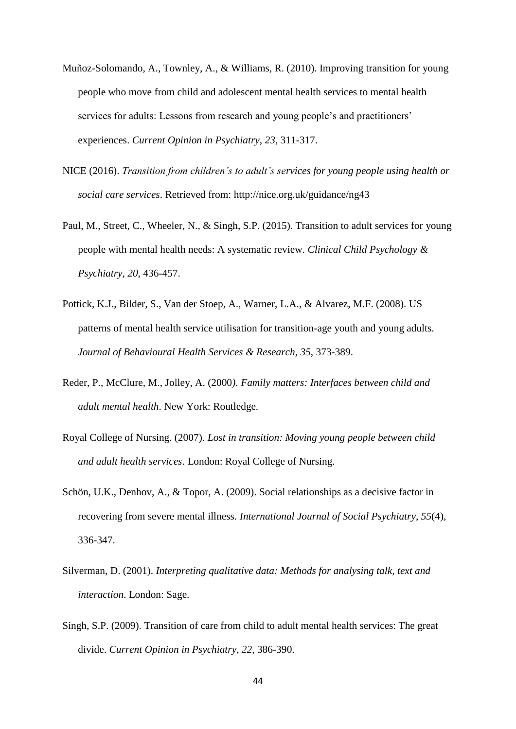- Muñoz-Solomando, A., Townley, A., & Williams, R. (2010). Improving transition for young people who move from child and adolescent mental health services to mental health services for adults: Lessons from research and young people's and practitioners' experiences. *Current Opinion in Psychiatry*, *23*, 311-317.
- NICE (2016). *Transition from children's to adult's services for young people using health or social care services*. Retrieved from: http://nice.org.uk/guidance/ng43
- Paul, M., Street, C., Wheeler, N., & Singh, S.P. (2015). Transition to adult services for young people with mental health needs: A systematic review. *Clinical Child Psychology & Psychiatry*, *20*, 436-457.
- Pottick, K.J., Bilder, S., Van der Stoep, A., Warner, L.A., & Alvarez, M.F. (2008). US patterns of mental health service utilisation for transition-age youth and young adults. *Journal of Behavioural Health Services & Research*, *35*, 373-389.
- Reder, P., McClure, M., Jolley, A. (2000*). Family matters: Interfaces between child and adult mental health*. New York: Routledge.
- Royal College of Nursing. (2007). *Lost in transition: Moving young people between child and adult health services*. London: Royal College of Nursing.
- Schön, U.K., Denhov, A., & Topor, A. (2009). Social relationships as a decisive factor in recovering from severe mental illness. *International Journal of Social Psychiatry*, *55*(4), 336-347.
- Silverman, D. (2001). *Interpreting qualitative data: Methods for analysing talk, text and interaction*. London: Sage.
- Singh, S.P. (2009). Transition of care from child to adult mental health services: The great divide. *Current Opinion in Psychiatry*, *22*, 386-390.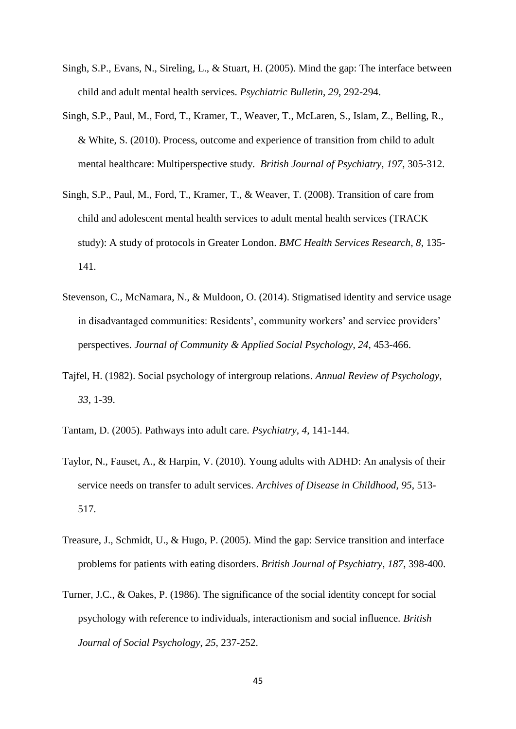- Singh, S.P., Evans, N., Sireling, L., & Stuart, H. (2005). Mind the gap: The interface between child and adult mental health services. *Psychiatric Bulletin*, *29*, 292-294.
- Singh, S.P., Paul, M., Ford, T., Kramer, T., Weaver, T., McLaren, S., Islam, Z., Belling, R., & White, S. (2010). Process, outcome and experience of transition from child to adult mental healthcare: Multiperspective study. *British Journal of Psychiatry*, *197*, 305-312.
- Singh, S.P., Paul, M., Ford, T., Kramer, T., & Weaver, T. (2008). Transition of care from child and adolescent mental health services to adult mental health services (TRACK study): A study of protocols in Greater London. *BMC Health Services Research*, *8*, 135- 141.
- Stevenson, C., McNamara, N., & Muldoon, O. (2014). Stigmatised identity and service usage in disadvantaged communities: Residents', community workers' and service providers' perspectives. *Journal of Community & Applied Social Psychology*, *24*, 453-466.
- Tajfel, H. (1982). Social psychology of intergroup relations. *Annual Review of Psychology*, *33*, 1-39.
- Tantam, D. (2005). Pathways into adult care. *Psychiatry*, *4*, 141-144.
- Taylor, N., Fauset, A., & Harpin, V. (2010). Young adults with ADHD: An analysis of their service needs on transfer to adult services. *Archives of Disease in Childhood*, *95*, 513- 517.
- Treasure, J., Schmidt, U., & Hugo, P. (2005). Mind the gap: Service transition and interface problems for patients with eating disorders. *British Journal of Psychiatry*, *187*, 398-400.
- Turner, J.C., & Oakes, P. (1986). The significance of the social identity concept for social psychology with reference to individuals, interactionism and social influence. *British Journal of Social Psychology*, *25*, 237-252.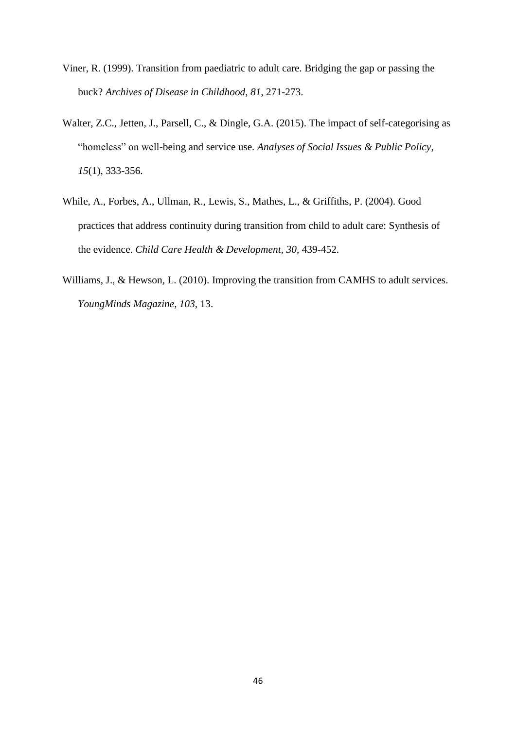- Viner, R. (1999). Transition from paediatric to adult care. Bridging the gap or passing the buck? *Archives of Disease in Childhood*, *81*, 271-273.
- Walter, Z.C., Jetten, J., Parsell, C., & Dingle, G.A. (2015). The impact of self-categorising as "homeless" on well-being and service use. *Analyses of Social Issues & Public Policy*, *15*(1), 333-356.
- While, A., Forbes, A., Ullman, R., Lewis, S., Mathes, L., & Griffiths, P. (2004). Good practices that address continuity during transition from child to adult care: Synthesis of the evidence. *Child Care Health & Development*, *30*, 439-452.
- Williams, J., & Hewson, L. (2010). Improving the transition from CAMHS to adult services. *YoungMinds Magazine*, *103*, 13.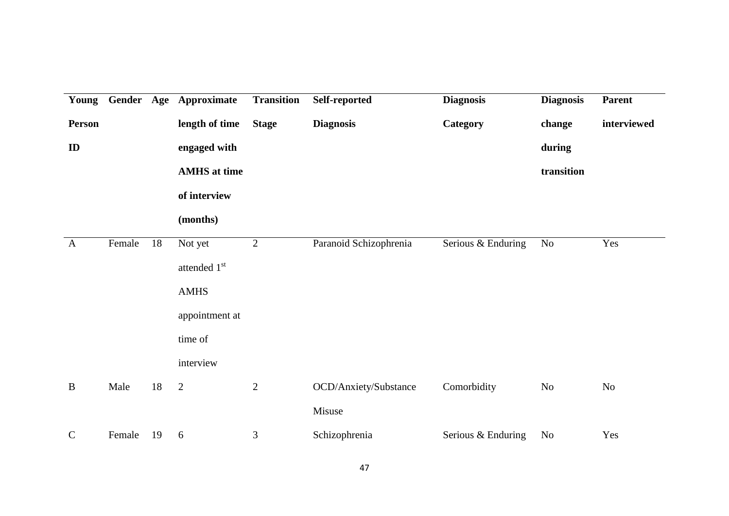| Young         |        |    | Gender Age Approximate | <b>Transition</b> | Self-reported          | <b>Diagnosis</b>   | <b>Diagnosis</b> | <b>Parent</b> |
|---------------|--------|----|------------------------|-------------------|------------------------|--------------------|------------------|---------------|
| <b>Person</b> |        |    | length of time         | <b>Stage</b>      | <b>Diagnosis</b>       | Category           | change           | interviewed   |
| ID            |        |    | engaged with           |                   |                        |                    | during           |               |
|               |        |    | <b>AMHS</b> at time    |                   |                        |                    | transition       |               |
|               |        |    | of interview           |                   |                        |                    |                  |               |
|               |        |    | (months)               |                   |                        |                    |                  |               |
| $\mathbf{A}$  | Female | 18 | Not yet                | $\overline{2}$    | Paranoid Schizophrenia | Serious & Enduring | $\rm No$         | Yes           |
|               |        |    | attended 1st           |                   |                        |                    |                  |               |
|               |        |    | <b>AMHS</b>            |                   |                        |                    |                  |               |
|               |        |    | appointment at         |                   |                        |                    |                  |               |
|               |        |    | time of                |                   |                        |                    |                  |               |
|               |        |    | interview              |                   |                        |                    |                  |               |
| $\bf{B}$      | Male   | 18 | 2                      | $\overline{2}$    | OCD/Anxiety/Substance  | Comorbidity        | No               | No            |
|               |        |    |                        |                   | Misuse                 |                    |                  |               |
| $\mathcal{C}$ | Female | 19 | 6                      | 3                 | Schizophrenia          | Serious & Enduring | No               | Yes           |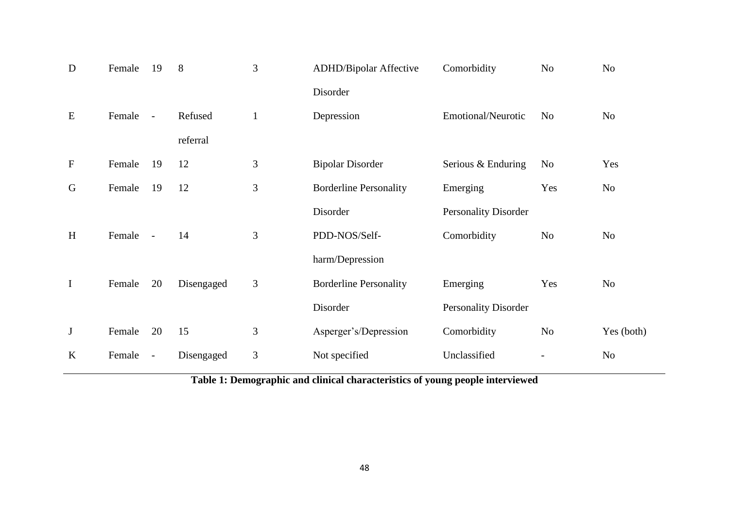| D           | Female | 19                       | 8          | 3              | <b>ADHD/Bipolar Affective</b> | Comorbidity                 | No             | No             |
|-------------|--------|--------------------------|------------|----------------|-------------------------------|-----------------------------|----------------|----------------|
|             |        |                          |            |                | Disorder                      |                             |                |                |
| E           | Female | $\mathbb{L}$             | Refused    | $\mathbf{1}$   | Depression                    | Emotional/Neurotic          | N <sub>o</sub> | N <sub>o</sub> |
|             |        |                          | referral   |                |                               |                             |                |                |
| $\mathbf F$ | Female | 19                       | 12         | $\mathfrak{Z}$ | <b>Bipolar Disorder</b>       | Serious & Enduring          | No             | Yes            |
| G           | Female | 19                       | 12         | $\mathfrak{Z}$ | <b>Borderline Personality</b> | Emerging                    | Yes            | No             |
|             |        |                          |            |                | Disorder                      | <b>Personality Disorder</b> |                |                |
| H           | Female | $\sim$                   | 14         | 3              | PDD-NOS/Self-                 | Comorbidity                 | N <sub>o</sub> | N <sub>o</sub> |
|             |        |                          |            |                | harm/Depression               |                             |                |                |
| $\mathbf I$ | Female | 20                       | Disengaged | 3              | <b>Borderline Personality</b> | Emerging                    | Yes            | N <sub>o</sub> |
|             |        |                          |            |                | Disorder                      | <b>Personality Disorder</b> |                |                |
| $\bf J$     | Female | 20                       | 15         | $\mathfrak{Z}$ | Asperger's/Depression         | Comorbidity                 | No             | Yes (both)     |
| $\bf K$     | Female | $\overline{\phantom{a}}$ | Disengaged | $\mathfrak{Z}$ | Not specified                 | Unclassified                |                | No             |
|             |        |                          |            |                |                               |                             |                |                |

**Table 1: Demographic and clinical characteristics of young people interviewed**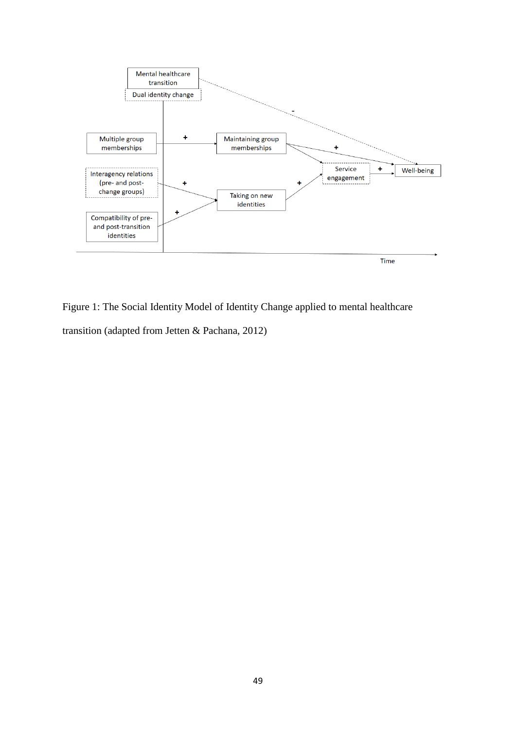

Figure 1: The Social Identity Model of Identity Change applied to mental healthcare transition (adapted from Jetten & Pachana, 2012)